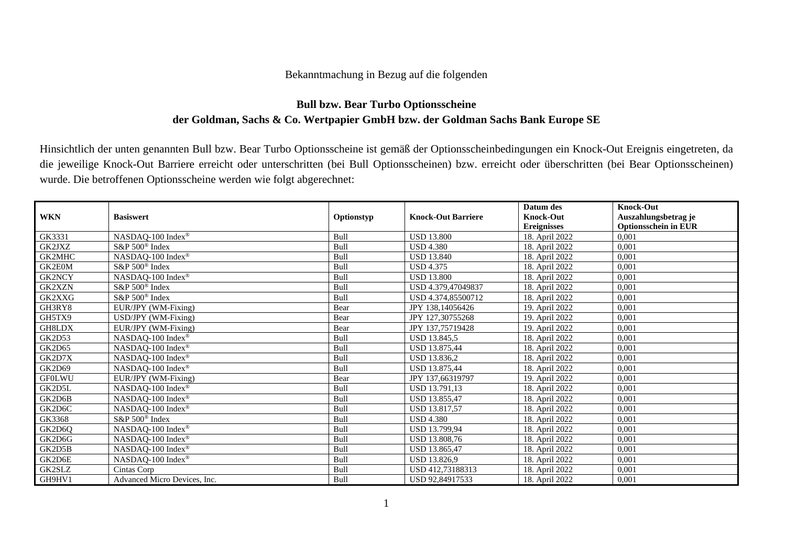## Bekanntmachung in Bezug auf die folgenden

## **Bull bzw. Bear Turbo Optionsscheine der Goldman, Sachs & Co. Wertpapier GmbH bzw. der Goldman Sachs Bank Europe SE**

Hinsichtlich der unten genannten Bull bzw. Bear Turbo Optionsscheine ist gemäß der Optionsscheinbedingungen ein Knock-Out Ereignis eingetreten, da die jeweilige Knock-Out Barriere erreicht oder unterschritten (bei Bull Optionsscheinen) bzw. erreicht oder überschritten (bei Bear Optionsscheinen) wurde. Die betroffenen Optionsscheine werden wie folgt abgerechnet:

|               |                               |            |                           | Datum des          | <b>Knock-Out</b>            |
|---------------|-------------------------------|------------|---------------------------|--------------------|-----------------------------|
| <b>WKN</b>    | <b>Basiswert</b>              | Optionstyp | <b>Knock-Out Barriere</b> | <b>Knock-Out</b>   | Auszahlungsbetrag je        |
|               |                               |            |                           | <b>Ereignisses</b> | <b>Optionsschein in EUR</b> |
| GK3331        | NASDAQ-100 Index <sup>®</sup> | Bull       | <b>USD 13.800</b>         | 18. April 2022     | 0.001                       |
| GK2JXZ        | S&P 500 <sup>®</sup> Index    | Bull       | <b>USD 4.380</b>          | 18. April 2022     | 0,001                       |
| GK2MHC        | NASDAQ-100 Index®             | Bull       | <b>USD 13.840</b>         | 18. April 2022     | 0,001                       |
| GK2E0M        | S&P 500 <sup>®</sup> Index    | Bull       | <b>USD 4.375</b>          | 18. April 2022     | 0,001                       |
| <b>GK2NCY</b> | NASDAQ-100 Index®             | Bull       | <b>USD 13.800</b>         | 18. April 2022     | 0,001                       |
| <b>GK2XZN</b> | $S\&P 500^{\circ}$ Index      | Bull       | USD 4.379,47049837        | 18. April 2022     | 0.001                       |
| GK2XXG        | S&P 500 <sup>®</sup> Index    | Bull       | USD 4.374,85500712        | 18. April 2022     | 0,001                       |
| GH3RY8        | EUR/JPY (WM-Fixing)           | Bear       | JPY 138,14056426          | 19. April 2022     | 0,001                       |
| GH5TX9        | USD/JPY (WM-Fixing)           | Bear       | JPY 127,30755268          | 19. April 2022     | 0.001                       |
| GH8LDX        | EUR/JPY (WM-Fixing)           | Bear       | JPY 137,75719428          | 19. April 2022     | 0,001                       |
| GK2D53        | NASDAQ-100 Index®             | Bull       | USD 13.845,5              | 18. April 2022     | 0,001                       |
| GK2D65        | NASDAQ-100 Index <sup>®</sup> | Bull       | <b>USD 13.875.44</b>      | 18. April 2022     | 0.001                       |
| GK2D7X        | NASDAQ-100 Index <sup>®</sup> | Bull       | USD 13.836,2              | 18. April 2022     | 0,001                       |
| GK2D69        | NASDAQ-100 Index®             | Bull       | USD 13.875,44             | 18. April 2022     | 0,001                       |
| <b>GF0LWU</b> | EUR/JPY (WM-Fixing)           | Bear       | JPY 137,66319797          | 19. April 2022     | 0.001                       |
| GK2D5L        | NASDAQ-100 Index <sup>®</sup> | Bull       | USD 13.791,13             | 18. April 2022     | 0,001                       |
| GK2D6B        | NASDAQ-100 Index®             | Bull       | USD 13.855,47             | 18. April 2022     | 0,001                       |
| GK2D6C        | NASDAQ-100 Index <sup>®</sup> | Bull       | <b>USD 13.817.57</b>      | 18. April 2022     | 0.001                       |
| GK3368        | S&P 500 <sup>®</sup> Index    | Bull       | <b>USD 4.380</b>          | 18. April 2022     | 0,001                       |
| GK2D6Q        | NASDAQ-100 Index®             | Bull       | USD 13.799,94             | 18. April 2022     | 0,001                       |
| GK2D6G        | NASDAQ-100 Index <sup>®</sup> | Bull       | USD 13.808,76             | 18. April 2022     | 0,001                       |
| GK2D5B        | NASDAQ-100 Index®             | Bull       | USD 13.865,47             | 18. April 2022     | 0,001                       |
| GK2D6E        | NASDAQ-100 Index®             | Bull       | USD 13.826,9              | 18. April 2022     | 0,001                       |
| GK2SLZ        | Cintas Corp                   | Bull       | USD 412,73188313          | 18. April 2022     | 0,001                       |
| GH9HV1        | Advanced Micro Devices, Inc.  | Bull       | USD 92.84917533           | 18. April 2022     | 0,001                       |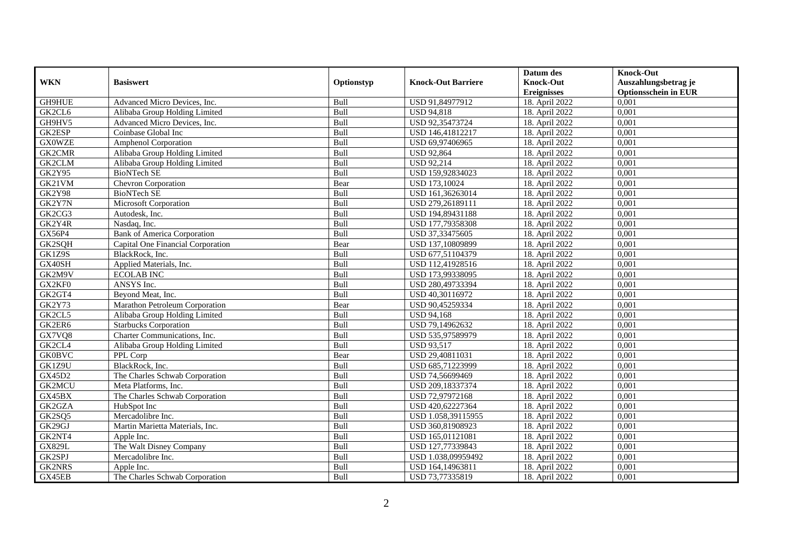|               |                                    |             |                           | Datum des          | <b>Knock-Out</b>            |
|---------------|------------------------------------|-------------|---------------------------|--------------------|-----------------------------|
| <b>WKN</b>    | <b>Basiswert</b>                   | Optionstyp  | <b>Knock-Out Barriere</b> | <b>Knock-Out</b>   | Auszahlungsbetrag je        |
|               |                                    |             |                           | <b>Ereignisses</b> | <b>Optionsschein in EUR</b> |
| GH9HUE        | Advanced Micro Devices, Inc.       | Bull        | USD 91,84977912           | 18. April 2022     | 0,001                       |
| GK2CL6        | Alibaba Group Holding Limited      | Bull        | <b>USD 94,818</b>         | 18. April 2022     | 0,001                       |
| GH9HV5        | Advanced Micro Devices, Inc.       | Bull        | USD 92,35473724           | 18. April 2022     | 0,001                       |
| GK2ESP        | Coinbase Global Inc                | Bull        | USD 146,41812217          | 18. April 2022     | 0,001                       |
| <b>GX0WZE</b> | Amphenol Corporation               | Bull        | USD 69,97406965           | 18. April 2022     | 0,001                       |
| GK2CMR        | Alibaba Group Holding Limited      | Bull        | USD 92,864                | 18. April 2022     | 0,001                       |
| GK2CLM        | Alibaba Group Holding Limited      | Bull        | <b>USD 92,214</b>         | 18. April 2022     | 0,001                       |
| <b>GK2Y95</b> | <b>BioNTech SE</b>                 | Bull        | USD 159,92834023          | 18. April 2022     | 0,001                       |
| GK21VM        | Chevron Corporation                | Bear        | USD 173,10024             | 18. April 2022     | 0,001                       |
| <b>GK2Y98</b> | <b>BioNTech SE</b>                 | Bull        | USD 161,36263014          | 18. April 2022     | 0,001                       |
| GK2Y7N        | Microsoft Corporation              | Bull        | USD 279,26189111          | 18. April 2022     | 0,001                       |
| GK2CG3        | Autodesk, Inc.                     | Bull        | USD 194,89431188          | 18. April 2022     | 0,001                       |
| GK2Y4R        | Nasdaq, Inc.                       | Bull        | USD 177,79358308          | 18. April 2022     | 0,001                       |
| GX56P4        | <b>Bank of America Corporation</b> | Bull        | USD 37,33475605           | 18. April 2022     | 0,001                       |
| GK2SQH        | Capital One Financial Corporation  | Bear        | USD 137,10809899          | 18. April 2022     | 0,001                       |
| GK1Z9S        | BlackRock, Inc.                    | Bull        | USD 677,51104379          | 18. April 2022     | 0,001                       |
| GX40SH        | Applied Materials, Inc.            | Bull        | USD 112,41928516          | 18. April 2022     | 0,001                       |
| GK2M9V        | <b>ECOLAB INC</b>                  | <b>Bull</b> | USD 173,99338095          | 18. April 2022     | 0,001                       |
| GX2KF0        | ANSYS Inc.                         | Bull        | USD 280,49733394          | 18. April 2022     | 0,001                       |
| GK2GT4        | Beyond Meat, Inc.                  | Bull        | USD 40,30116972           | 18. April 2022     | 0,001                       |
| <b>GK2Y73</b> | Marathon Petroleum Corporation     | <b>Bear</b> | USD 90,45259334           | 18. April 2022     | 0,001                       |
| GK2CL5        | Alibaba Group Holding Limited      | Bull        | <b>USD 94,168</b>         | 18. April 2022     | 0,001                       |
| GK2ER6        | <b>Starbucks Corporation</b>       | Bull        | USD 79,14962632           | 18. April 2022     | 0,001                       |
| GX7VQ8        | Charter Communications, Inc.       | Bull        | USD 535,97589979          | 18. April 2022     | 0,001                       |
| GK2CL4        | Alibaba Group Holding Limited      | Bull        | <b>USD 93,517</b>         | 18. April 2022     | 0,001                       |
| <b>GK0BVC</b> | PPL Corp                           | Bear        | USD 29,40811031           | 18. April 2022     | 0,001                       |
| GK1Z9U        | BlackRock, Inc.                    | Bull        | USD 685,71223999          | 18. April 2022     | 0,001                       |
| GX45D2        | The Charles Schwab Corporation     | Bull        | USD 74,56699469           | 18. April 2022     | 0.001                       |
| <b>GK2MCU</b> | Meta Platforms, Inc.               | Bull        | USD 209,18337374          | 18. April 2022     | 0,001                       |
| GX45BX        | The Charles Schwab Corporation     | Bull        | USD 72,97972168           | 18. April 2022     | 0,001                       |
| GK2GZA        | HubSpot Inc                        | Bull        | USD 420,62227364          | 18. April 2022     | 0,001                       |
| GK2SQ5        | Mercadolibre Inc.                  | Bull        | USD 1.058,39115955        | 18. April 2022     | 0.001                       |
| GK29GJ        | Martin Marietta Materials, Inc.    | Bull        | USD 360,81908923          | 18. April 2022     | 0,001                       |
| GK2NT4        | Apple Inc.                         | Bull        | USD 165,01121081          | 18. April 2022     | 0,001                       |
| <b>GX829L</b> | The Walt Disney Company            | Bull        | USD 127,77339843          | 18. April 2022     | 0,001                       |
| GK2SPJ        | Mercadolibre Inc.                  | Bull        | USD 1.038,09959492        | 18. April 2022     | 0,001                       |
| GK2NRS        | Apple Inc.                         | Bull        | USD 164,14963811          | 18. April 2022     | 0,001                       |
| GX45EB        | The Charles Schwab Corporation     | Bull        | USD 73,77335819           | 18. April 2022     | 0,001                       |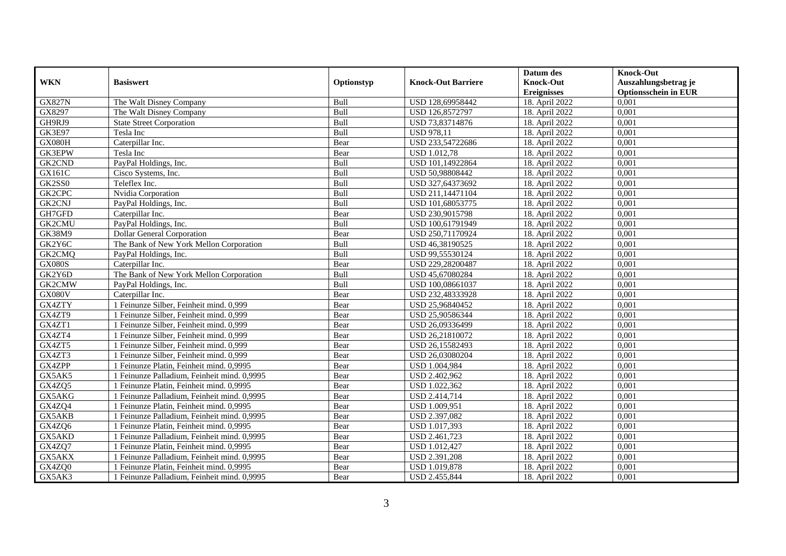|               |                                             |            |                           | Datum des                              | <b>Knock-Out</b>                                    |
|---------------|---------------------------------------------|------------|---------------------------|----------------------------------------|-----------------------------------------------------|
| <b>WKN</b>    | <b>Basiswert</b>                            | Optionstyp | <b>Knock-Out Barriere</b> | <b>Knock-Out</b><br><b>Ereignisses</b> | Auszahlungsbetrag je<br><b>Optionsschein in EUR</b> |
| <b>GX827N</b> | The Walt Disney Company                     | Bull       | USD 128,69958442          | 18. April 2022                         | 0,001                                               |
| GX8297        | The Walt Disney Company                     | Bull       | USD 126,8572797           | 18. April 2022                         | 0,001                                               |
| GH9RJ9        | <b>State Street Corporation</b>             | Bull       | USD 73,83714876           | 18. April 2022                         | 0,001                                               |
| <b>GK3E97</b> | Tesla Inc                                   | Bull       | <b>USD 978,11</b>         | 18. April 2022                         | 0,001                                               |
| GX080H        | Caterpillar Inc.                            | Bear       | USD 233,54722686          | 18. April 2022                         | 0,001                                               |
| <b>GK3EPW</b> | Tesla Inc                                   | Bear       | <b>USD 1.012,78</b>       | 18. April 2022                         | 0,001                                               |
| GK2CND        | PayPal Holdings, Inc.                       | Bull       | USD 101,14922864          | 18. April 2022                         | 0,001                                               |
| GX161C        | Cisco Systems, Inc.                         | Bull       | USD 50,98808442           | 18. April 2022                         | 0,001                                               |
| GK2SS0        | Teleflex Inc.                               | Bull       | USD 327,64373692          | 18. April 2022                         | 0,001                                               |
| GK2CPC        | Nvidia Corporation                          | Bull       | USD 211,14471104          | 18. April 2022                         | 0,001                                               |
| GK2CNJ        | PayPal Holdings, Inc.                       | Bull       | USD 101,68053775          | 18. April 2022                         | 0,001                                               |
| GH7GFD        | Caterpillar Inc.                            | Bear       | USD 230,9015798           | 18. April 2022                         | 0,001                                               |
| GK2CMU        | PayPal Holdings, Inc.                       | Bull       | USD 100,61791949          | 18. April 2022                         | 0,001                                               |
| <b>GK38M9</b> | <b>Dollar General Corporation</b>           | Bear       | USD 250,71170924          | 18. April 2022                         | 0,001                                               |
| GK2Y6C        | The Bank of New York Mellon Corporation     | Bull       | USD 46,38190525           | 18. April 2022                         | 0,001                                               |
| GK2CMQ        | PayPal Holdings, Inc.                       | Bull       | USD 99,55530124           | 18. April 2022                         | 0,001                                               |
| <b>GX080S</b> | Caterpillar Inc.                            | Bear       | USD 229,28200487          | 18. April 2022                         | 0,001                                               |
| GK2Y6D        | The Bank of New York Mellon Corporation     | Bull       | USD 45,67080284           | 18. April 2022                         | 0,001                                               |
| GK2CMW        | PayPal Holdings, Inc.                       | Bull       | USD 100,08661037          | 18. April 2022                         | 0,001                                               |
| GX080V        | Caterpillar Inc.                            | Bear       | USD 232,48333928          | 18. April 2022                         | 0,001                                               |
| GX4ZTY        | 1 Feinunze Silber, Feinheit mind. 0,999     | Bear       | USD 25,96840452           | 18. April 2022                         | 0,001                                               |
| GX4ZT9        | 1 Feinunze Silber, Feinheit mind. 0.999     | Bear       | USD 25,90586344           | 18. April 2022                         | 0,001                                               |
| GX4ZT1        | 1 Feinunze Silber, Feinheit mind. 0,999     | Bear       | USD 26,09336499           | 18. April 2022                         | 0,001                                               |
| GX4ZT4        | 1 Feinunze Silber, Feinheit mind. 0,999     | Bear       | USD 26,21810072           | 18. April 2022                         | 0,001                                               |
| GX4ZT5        | 1 Feinunze Silber, Feinheit mind. 0,999     | Bear       | USD 26,15582493           | 18. April 2022                         | 0,001                                               |
| GX4ZT3        | 1 Feinunze Silber, Feinheit mind. 0,999     | Bear       | USD 26,03080204           | 18. April 2022                         | 0,001                                               |
| GX4ZPP        | 1 Feinunze Platin, Feinheit mind. 0,9995    | Bear       | USD 1.004,984             | 18. April 2022                         | 0,001                                               |
| GX5AK5        | 1 Feinunze Palladium, Feinheit mind. 0,9995 | Bear       | USD 2.402,962             | 18. April 2022                         | 0,001                                               |
| GX4ZQ5        | 1 Feinunze Platin, Feinheit mind. 0,9995    | Bear       | USD 1.022,362             | 18. April 2022                         | 0,001                                               |
| GX5AKG        | 1 Feinunze Palladium. Feinheit mind. 0.9995 | Bear       | USD 2.414,714             | 18. April 2022                         | 0.001                                               |
| GX4ZQ4        | 1 Feinunze Platin, Feinheit mind. 0,9995    | Bear       | USD 1.009,951             | 18. April 2022                         | 0,001                                               |
| GX5AKB        | 1 Feinunze Palladium, Feinheit mind. 0,9995 | Bear       | USD 2.397,082             | 18. April 2022                         | 0,001                                               |
| GX4ZQ6        | 1 Feinunze Platin, Feinheit mind. 0,9995    | Bear       | USD 1.017,393             | 18. April 2022                         | 0,001                                               |
| GX5AKD        | 1 Feinunze Palladium, Feinheit mind. 0,9995 | Bear       | USD 2.461,723             | 18. April 2022                         | 0,001                                               |
| GX4ZQ7        | 1 Feinunze Platin, Feinheit mind. 0,9995    | Bear       | <b>USD 1.012,427</b>      | 18. April 2022                         | 0,001                                               |
| GX5AKX        | 1 Feinunze Palladium, Feinheit mind. 0,9995 | Bear       | USD 2.391,208             | 18. April 2022                         | 0,001                                               |
| GX4ZQ0        | 1 Feinunze Platin, Feinheit mind. 0,9995    | Bear       | USD 1.019,878             | 18. April 2022                         | 0,001                                               |
| GX5AK3        | 1 Feinunze Palladium, Feinheit mind. 0,9995 | Bear       | USD 2.455,844             | 18. April 2022                         | 0,001                                               |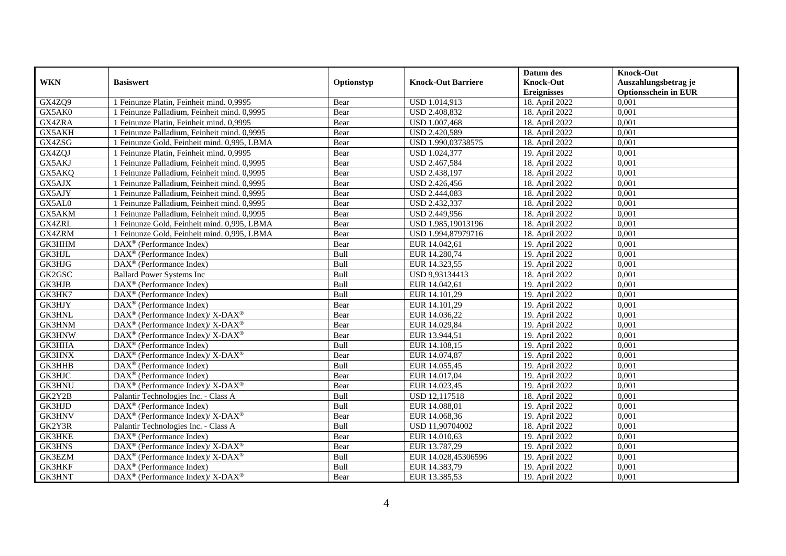|               | <b>Basiswert</b>                                                   |            |                           | Datum des<br><b>Knock-Out</b> | <b>Knock-Out</b>                                    |
|---------------|--------------------------------------------------------------------|------------|---------------------------|-------------------------------|-----------------------------------------------------|
| <b>WKN</b>    |                                                                    | Optionstyp | <b>Knock-Out Barriere</b> | <b>Ereignisses</b>            | Auszahlungsbetrag je<br><b>Optionsschein in EUR</b> |
| GX4ZQ9        | 1 Feinunze Platin, Feinheit mind. 0,9995                           | Bear       | USD 1.014,913             | 18. April 2022                | 0,001                                               |
| GX5AK0        | 1 Feinunze Palladium, Feinheit mind. 0,9995                        | Bear       | <b>USD 2.408,832</b>      | 18. April 2022                | 0,001                                               |
| GX4ZRA        | 1 Feinunze Platin, Feinheit mind. 0,9995                           | Bear       | USD 1.007,468             | 18. April 2022                | 0,001                                               |
| GX5AKH        | 1 Feinunze Palladium, Feinheit mind. 0,9995                        | Bear       | USD 2.420,589             | 18. April 2022                | 0,001                                               |
| GX4ZSG        | 1 Feinunze Gold, Feinheit mind. 0,995, LBMA                        | Bear       | USD 1.990,03738575        | 18. April 2022                | 0,001                                               |
| GX4ZQJ        | 1 Feinunze Platin, Feinheit mind. 0,9995                           | Bear       | USD 1.024,377             | 19. April 2022                | 0,001                                               |
| GX5AKJ        | 1 Feinunze Palladium, Feinheit mind. 0,9995                        | Bear       | USD 2.467,584             | 18. April 2022                | 0,001                                               |
| GX5AKQ        | 1 Feinunze Palladium, Feinheit mind. 0,9995                        | Bear       | USD 2.438,197             | 18. April 2022                | 0,001                                               |
| GX5AJX        | 1 Feinunze Palladium, Feinheit mind. 0,9995                        | Bear       | USD 2.426,456             | 18. April 2022                | 0,001                                               |
| GX5AJY        | 1 Feinunze Palladium, Feinheit mind. 0,9995                        | Bear       | USD 2.444,083             | 18. April 2022                | 0,001                                               |
| GX5AL0        | 1 Feinunze Palladium, Feinheit mind. 0,9995                        | Bear       | USD 2.432,337             | 18. April 2022                | 0,001                                               |
| GX5AKM        | 1 Feinunze Palladium, Feinheit mind. 0,9995                        | Bear       | USD 2.449,956             | 18. April 2022                | 0,001                                               |
| GX4ZRL        | 1 Feinunze Gold, Feinheit mind. 0,995, LBMA                        | Bear       | USD 1.985,19013196        | 18. April 2022                | 0,001                                               |
| GX4ZRM        | 1 Feinunze Gold, Feinheit mind. 0,995, LBMA                        | Bear       | USD 1.994,87979716        | 18. April 2022                | 0,001                                               |
| GK3HHM        | DAX <sup>®</sup> (Performance Index)                               | Bear       | EUR 14.042,61             | 19. April 2022                | 0,001                                               |
| GK3HJL        | DAX <sup>®</sup> (Performance Index)                               | Bull       | EUR 14.280,74             | 19. April 2022                | 0,001                                               |
| GK3HJG        | $\text{DAX}^{\textcircled{p}}$ (Performance Index)                 | Bull       | EUR 14.323,55             | 19. April 2022                | 0,001                                               |
| GK2GSC        | <b>Ballard Power Systems Inc</b>                                   | Bull       | USD 9,93134413            | 18. April 2022                | 0,001                                               |
| GK3HJB        | $\text{DAX}^{\textcircled{n}}$ (Performance Index)                 | Bull       | EUR 14.042,61             | 19. April 2022                | 0,001                                               |
| GK3HK7        | $\text{DAX}^{\textcircled{n}}$ (Performance Index)                 | Bull       | EUR 14.101,29             | 19. April 2022                | 0,001                                               |
| GK3HJY        | DAX <sup>®</sup> (Performance Index)                               | Bear       | EUR 14.101,29             | 19. April 2022                | 0,001                                               |
| <b>GK3HNL</b> | $\text{DAX}^{\circledast}$ (Performance Index)/ X-DAX <sup>®</sup> | Bear       | EUR 14.036,22             | 19. April 2022                | 0,001                                               |
| <b>GK3HNM</b> | $\text{DAX}^{\circledR}$ (Performance Index)/ X-DAX <sup>®</sup>   | Bear       | EUR 14.029,84             | 19. April 2022                | 0,001                                               |
| GK3HNW        | $DAX^{\circledcirc}$ (Performance Index)/ X-DAX <sup>®</sup>       | Bear       | EUR 13.944,51             | 19. April 2022                | 0,001                                               |
| GK3HHA        | $DAX^{\circledR}$ (Performance Index)                              | Bull       | EUR 14.108,15             | 19. April 2022                | 0,001                                               |
| GK3HNX        | $\text{DAX}^{\circledast}$ (Performance Index)/ X-DAX <sup>®</sup> | Bear       | EUR 14.074,87             | 19. April 2022                | 0,001                                               |
| GK3HHB        | DAX <sup>®</sup> (Performance Index)                               | Bull       | EUR 14.055,45             | 19. April 2022                | 0,001                                               |
| GK3HJC        | $\text{DAX}^{\circledast}$ (Performance Index)                     | Bear       | EUR 14.017,04             | 19. April 2022                | 0,001                                               |
| <b>GK3HNU</b> | $\text{DAX}^{\circledast}$ (Performance Index)/ X-DAX <sup>®</sup> | Bear       | EUR 14.023,45             | 19. April 2022                | 0,001                                               |
| GK2Y2B        | Palantir Technologies Inc. - Class A                               | Bull       | <b>USD 12,117518</b>      | 18. April 2022                | 0.001                                               |
| GK3HJD        | $\text{DAX}^{\textcircled{p}}$ (Performance Index)                 | Bull       | EUR 14.088,01             | 19. April 2022                | 0,001                                               |
| GK3HNV        | $\text{DAX}^{\circledR}$ (Performance Index)/ X-DAX <sup>®</sup>   | Bear       | EUR 14.068,36             | 19. April 2022                | 0,001                                               |
| GK2Y3R        | Palantir Technologies Inc. - Class A                               | Bull       | USD 11,90704002           | 18. April 2022                | 0,001                                               |
| <b>GK3HKE</b> | DAX <sup>®</sup> (Performance Index)                               | Bear       | EUR 14.010,63             | 19. April 2022                | 0,001                                               |
| <b>GK3HNS</b> | $\text{DAX}^{\circledR}$ (Performance Index)/ X-DAX <sup>®</sup>   | Bear       | EUR 13.787,29             | 19. April 2022                | 0,001                                               |
| GK3EZM        | $\text{DAX}^{\circledast}$ (Performance Index)/ X-DAX <sup>®</sup> | Bull       | EUR 14.028,45306596       | 19. April 2022                | 0,001                                               |
| GK3HKF        | $\text{DAX}^{\otimes}$ (Performance Index)                         | Bull       | EUR 14.383,79             | 19. April 2022                | 0,001                                               |
| GK3HNT        | DAX <sup>®</sup> (Performance Index)/X-DAX <sup>®</sup>            | Bear       | EUR 13.385,53             | 19. April 2022                | 0,001                                               |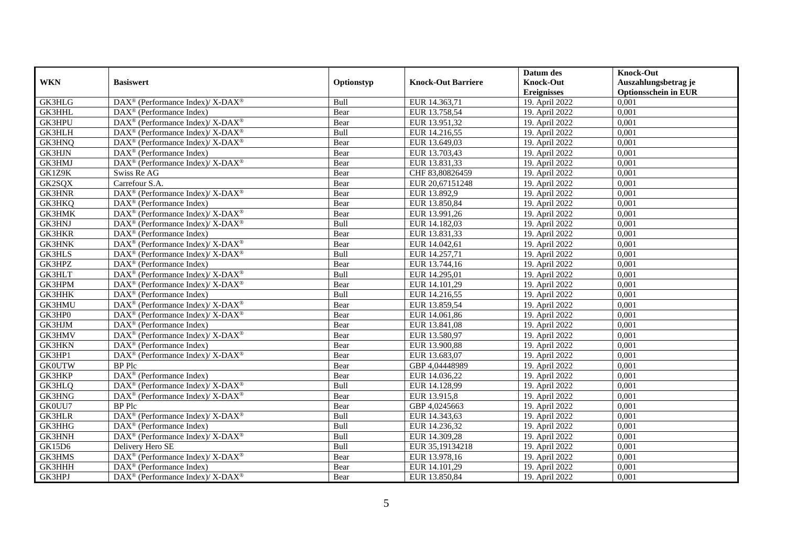|               |                                                                                         |             |                           | Datum des                              | <b>Knock-Out</b>                                    |
|---------------|-----------------------------------------------------------------------------------------|-------------|---------------------------|----------------------------------------|-----------------------------------------------------|
| <b>WKN</b>    | <b>Basiswert</b>                                                                        | Optionstyp  | <b>Knock-Out Barriere</b> | <b>Knock-Out</b><br><b>Ereignisses</b> | Auszahlungsbetrag je<br><b>Optionsschein in EUR</b> |
| <b>GK3HLG</b> | DAX <sup>®</sup> (Performance Index)/ X-DAX <sup>®</sup>                                | Bull        | EUR 14.363,71             | 19. April 2022                         | 0,001                                               |
| GK3HHL        | $DAX^{\circledR}$ (Performance Index)                                                   | Bear        | EUR 13.758,54             | 19. April 2022                         | 0,001                                               |
| <b>GK3HPU</b> | $\text{DAX}^{\circledast}$ (Performance Index)/ X-DAX <sup>®</sup>                      | Bear        | EUR 13.951,32             | 19. April 2022                         | 0,001                                               |
| GK3HLH        | DAX <sup>®</sup> (Performance Index)/ X-DAX <sup>®</sup>                                | Bull        | EUR 14.216,55             | 19. April 2022                         | 0,001                                               |
| GK3HNQ        | DAX <sup>®</sup> (Performance Index)/ X-DAX <sup>®</sup>                                | Bear        | EUR 13.649,03             | 19. April 2022                         | 0,001                                               |
| GK3HJN        | $DAX^{\circledast}$ (Performance Index)                                                 | Bear        | EUR 13.703,43             | 19. April 2022                         | 0,001                                               |
| GK3HMJ        | $\text{DAX}^{\circledast}$ (Performance Index)/ $\overline{\text{X-DAX}^{\circledast}}$ | Bear        | EUR 13.831,33             | 19. April 2022                         | 0,001                                               |
| GK1Z9K        | Swiss Re AG                                                                             | Bear        | CHF 83,80826459           | 19. April 2022                         | 0,001                                               |
| GK2SQX        | Carrefour S.A.                                                                          | Bear        | EUR 20,67151248           | 19. April 2022                         | 0,001                                               |
| <b>GK3HNR</b> | DAX <sup>®</sup> (Performance Index)/ X-DAX <sup>®</sup>                                | Bear        | EUR 13.892,9              | 19. April 2022                         | 0,001                                               |
| GK3HKQ        | DAX <sup>®</sup> (Performance Index)                                                    | Bear        | EUR 13.850,84             | 19. April 2022                         | 0,001                                               |
| <b>GK3HMK</b> | DAX <sup>®</sup> (Performance Index)/ X-DAX <sup>®</sup>                                | Bear        | EUR 13.991,26             | 19. April 2022                         | 0,001                                               |
| <b>GK3HNJ</b> | DAX <sup>®</sup> (Performance Index)/ X-DAX <sup>®</sup>                                | Bull        | EUR 14.182,03             | 19. April 2022                         | 0,001                                               |
| <b>GK3HKR</b> | $DAX^{\circledR}$ (Performance Index)                                                   | Bear        | EUR 13.831,33             | 19. April 2022                         | 0,001                                               |
| <b>GK3HNK</b> | DAX <sup>®</sup> (Performance Index)/ X-DAX <sup>®</sup>                                | Bear        | EUR 14.042,61             | 19. April 2022                         | 0,001                                               |
| GK3HLS        | DAX <sup>®</sup> (Performance Index)/X-DAX <sup>®</sup>                                 | Bull        | EUR 14.257,71             | 19. April 2022                         | 0,001                                               |
| GK3HPZ        | DAX <sup>®</sup> (Performance Index)                                                    | Bear        | EUR 13.744,16             | 19. April 2022                         | 0,001                                               |
| <b>GK3HLT</b> | $DAX^{\circledcirc}$ (Performance Index)/X-DAX <sup>®</sup>                             | <b>Bull</b> | EUR 14.295.01             | 19. April 2022                         | 0,001                                               |
| GK3HPM        | DAX <sup>®</sup> (Performance Index)/ X-DAX <sup>®</sup>                                | Bear        | EUR 14.101,29             | 19. April 2022                         | 0,001                                               |
| GK3HHK        | $\overline{\text{DAX}^{\otimes}}$ (Performance Index)                                   | Bull        | EUR 14.216,55             | 19. April 2022                         | 0,001                                               |
| GK3HMU        | DAX <sup>®</sup> (Performance Index)/ X-DAX <sup>®</sup>                                | Bear        | EUR 13.859,54             | 19. April 2022                         | 0,001                                               |
| GK3HP0        | DAX <sup>®</sup> (Performance Index)/ X-DAX <sup>®</sup>                                | Bear        | EUR 14.061,86             | 19. April 2022                         | 0,001                                               |
| GK3HJM        | $\text{DAX}^{\textcircled{}}$ (Performance Index)                                       | Bear        | EUR 13.841,08             | 19. April 2022                         | 0,001                                               |
| GK3HMV        | DAX <sup>®</sup> (Performance Index)/ X-DAX <sup>®</sup>                                | Bear        | EUR 13.580,97             | 19. April 2022                         | 0,001                                               |
| <b>GK3HKN</b> | $DAX^{\circledast}$ (Performance Index)                                                 | Bear        | EUR 13.900,88             | 19. April 2022                         | 0,001                                               |
| GK3HP1        | DAX <sup>®</sup> (Performance Index)/X-DAX <sup>®</sup>                                 | Bear        | EUR 13.683,07             | 19. April 2022                         | 0,001                                               |
| <b>GK0UTW</b> | <b>BP</b> Plc                                                                           | Bear        | GBP 4,04448989            | 19. April 2022                         | 0,001                                               |
| GK3HKP        | DAX <sup>®</sup> (Performance Index)                                                    | Bear        | EUR 14.036,22             | 19. April 2022                         | 0,001                                               |
| GK3HLQ        | DAX <sup>®</sup> (Performance Index)/X-DAX <sup>®</sup>                                 | <b>Bull</b> | EUR 14.128.99             | 19. April 2022                         | 0,001                                               |
| <b>GK3HNG</b> | DAX <sup>®</sup> (Performance Index)/ X-DAX <sup>®</sup>                                | Bear        | EUR 13.915,8              | 19. April 2022                         | 0,001                                               |
| GK0UU7        | <b>BP</b> Plc                                                                           | Bear        | GBP 4,0245663             | 19. April 2022                         | 0,001                                               |
| <b>GK3HLR</b> | DAX <sup>®</sup> (Performance Index)/ X-DAX <sup>®</sup>                                | Bull        | EUR 14.343,63             | 19. April 2022                         | 0,001                                               |
| GK3HHG        | $DAX^{\circledR}$ (Performance Index)                                                   | Bull        | EUR 14.236,32             | 19. April 2022                         | 0,001                                               |
| GK3HNH        | DAX <sup>®</sup> (Performance Index)/ X-DAX <sup>®</sup>                                | Bull        | EUR 14.309,28             | 19. April 2022                         | 0,001                                               |
| <b>GK15D6</b> | Delivery Hero SE                                                                        | Bull        | EUR 35,19134218           | 19. April 2022                         | 0,001                                               |
| GK3HMS        | DAX <sup>®</sup> (Performance Index)/ X-DAX <sup>®</sup>                                | Bear        | EUR 13.978,16             | 19. April 2022                         | 0,001                                               |
| GK3HHH        | DAX <sup>®</sup> (Performance Index)                                                    | Bear        | EUR 14.101,29             | 19. April 2022                         | 0,001                                               |
| GK3HPJ        | $DAX^{\circledast}$ (Performance Index)/X-DAX <sup>®</sup>                              | Bear        | EUR 13.850,84             | 19. April 2022                         | 0,001                                               |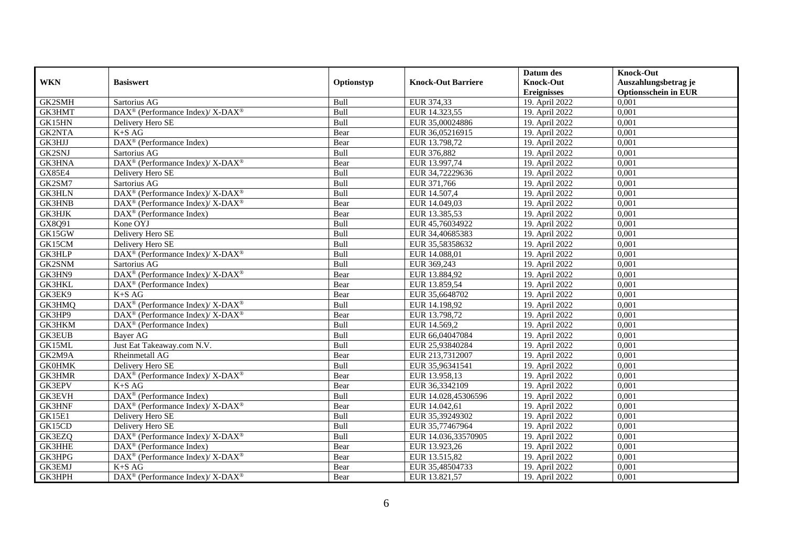| <b>WKN</b>    | <b>Basiswert</b>                                                  | Optionstyp  | <b>Knock-Out Barriere</b> | Datum des<br><b>Knock-Out</b> | <b>Knock-Out</b><br>Auszahlungsbetrag je |
|---------------|-------------------------------------------------------------------|-------------|---------------------------|-------------------------------|------------------------------------------|
|               |                                                                   |             |                           | <b>Ereignisses</b>            | <b>Optionsschein in EUR</b>              |
| GK2SMH        | Sartorius AG                                                      | Bull        | EUR 374,33                | 19. April 2022                | 0,001                                    |
| GK3HMT        | DAX <sup>®</sup> (Performance Index)/ X-DAX <sup>®</sup>          | Bull        | EUR 14.323,55             | 19. April 2022                | 0,001                                    |
| GK15HN        | Delivery Hero SE                                                  | Bull        | EUR 35,00024886           | 19. April 2022                | 0,001                                    |
| <b>GK2NTA</b> | $K+SAG$                                                           | Bear        | EUR 36,05216915           | 19. April 2022                | 0,001                                    |
| GK3HJJ        | DAX <sup>®</sup> (Performance Index)                              | Bear        | EUR 13.798,72             | 19. April 2022                | 0,001                                    |
| GK2SNJ        | Sartorius AG                                                      | <b>Bull</b> | EUR 376,882               | 19. April 2022                | 0,001                                    |
| <b>GK3HNA</b> | DAX <sup>®</sup> (Performance Index)/X-DAX <sup>®</sup>           | Bear        | EUR 13.997,74             | 19. April 2022                | 0,001                                    |
| GX85E4        | Delivery Hero SE                                                  | Bull        | EUR 34,72229636           | 19. April 2022                | 0,001                                    |
| GK2SM7        | Sartorius AG                                                      | Bull        | EUR 371,766               | 19. April 2022                | 0,001                                    |
| <b>GK3HLN</b> | DAX <sup>®</sup> (Performance Index)/ X-DAX <sup>®</sup>          | Bull        | EUR 14.507,4              | 19. April 2022                | 0,001                                    |
| <b>GK3HNB</b> | DAX <sup>®</sup> (Performance Index)/X-DAX <sup>®</sup>           | Bear        | EUR 14.049,03             | 19. April 2022                | 0,001                                    |
| GK3HJK        | DAX <sup>®</sup> (Performance Index)                              | Bear        | EUR 13.385,53             | 19. April 2022                | 0,001                                    |
| GX8Q91        | Kone OYJ                                                          | Bull        | EUR 45,76034922           | 19. April 2022                | 0,001                                    |
| GK15GW        | Delivery Hero SE                                                  | Bull        | EUR 34,40685383           | 19. April 2022                | 0,001                                    |
| GK15CM        | Delivery Hero SE                                                  | Bull        | EUR 35,58358632           | 19. April 2022                | 0,001                                    |
| GK3HLP        | DAX <sup>®</sup> (Performance Index)/ X-DAX <sup>®</sup>          | Bull        | EUR 14.088,01             | 19. April 2022                | 0,001                                    |
| GK2SNM        | Sartorius AG                                                      | Bull        | EUR 369,243               | 19. April 2022                | 0,001                                    |
| GK3HN9        | DAX <sup>®</sup> (Performance Index)/ X-DAX <sup>®</sup>          | Bear        | EUR 13.884,92             | 19. April 2022                | 0,001                                    |
| <b>GK3HKL</b> | DAX <sup>®</sup> (Performance Index)                              | Bear        | EUR 13.859,54             | 19. April 2022                | 0,001                                    |
| GK3EK9        | $K+SAG$                                                           | Bear        | EUR 35,6648702            | 19. April 2022                | 0,001                                    |
| GK3HMQ        | DAX <sup>®</sup> (Performance Index)/ X-DAX <sup>®</sup>          | Bull        | EUR 14.198,92             | 19. April 2022                | 0,001                                    |
| GK3HP9        | $DAX^{\circledcirc}$ (Performance Index)/ X-DAX <sup>®</sup>      | Bear        | EUR 13.798,72             | 19. April 2022                | 0,001                                    |
| <b>GK3HKM</b> | $\text{DAX}^{\textcircled{}}$ (Performance Index)                 | Bull        | EUR 14.569,2              | 19. April 2022                | 0,001                                    |
| <b>GK3EUB</b> | <b>Baver AG</b>                                                   | Bull        | EUR 66,04047084           | 19. April 2022                | 0,001                                    |
| GK15ML        | Just Eat Takeaway.com N.V.                                        | Bull        | EUR 25,93840284           | 19. April 2022                | 0,001                                    |
| GK2M9A        | Rheinmetall AG                                                    | Bear        | EUR 213,7312007           | 19. April 2022                | 0,001                                    |
| <b>GK0HMK</b> | Delivery Hero SE                                                  | Bull        | EUR 35,96341541           | 19. April 2022                | 0,001                                    |
| <b>GK3HMR</b> | DAX <sup>®</sup> (Performance Index)/ X-DAX <sup>®</sup>          | Bear        | EUR 13.958,13             | 19. April 2022                | 0,001                                    |
| GK3EPV        | $K+SAG$                                                           | Bear        | EUR 36,3342109            | 19. April 2022                | 0,001                                    |
| <b>GK3EVH</b> | $\text{DAX}^{\textcircled{}}$ (Performance Index)                 | Bull        | EUR 14.028,45306596       | 19. April 2022                | 0.001                                    |
| GK3HNF        | DAX <sup>®</sup> (Performance Index)/ X-DAX <sup>®</sup>          | Bear        | EUR 14.042,61             | 19. April 2022                | 0,001                                    |
| GK15E1        | Delivery Hero SE                                                  | Bull        | EUR 35,39249302           | 19. April 2022                | 0,001                                    |
| GK15CD        | Delivery Hero SE                                                  | Bull        | EUR 35,77467964           | 19. April 2022                | 0,001                                    |
| GK3EZQ        | DAX <sup>®</sup> (Performance Index)/ X-DAX <sup>®</sup>          | Bull        | EUR 14.036,33570905       | 19. April 2022                | 0,001                                    |
| <b>GK3HHE</b> | DAX <sup>®</sup> (Performance Index)                              | Bear        | EUR 13.923,26             | 19. April 2022                | 0,001                                    |
| GK3HPG        | $\text{DAX}^{\circledast}$ (Performance Index)/X-DAX <sup>®</sup> | Bear        | EUR 13.515,82             | 19. April 2022                | 0,001                                    |
| GK3EMJ        | $K+SAG$                                                           | Bear        | EUR 35,48504733           | 19. April 2022                | 0,001                                    |
| GK3HPH        | $DAX^{\circledast}$ (Performance Index)/ X-DAX <sup>®</sup>       | Bear        | EUR 13.821,57             | 19. April 2022                | 0,001                                    |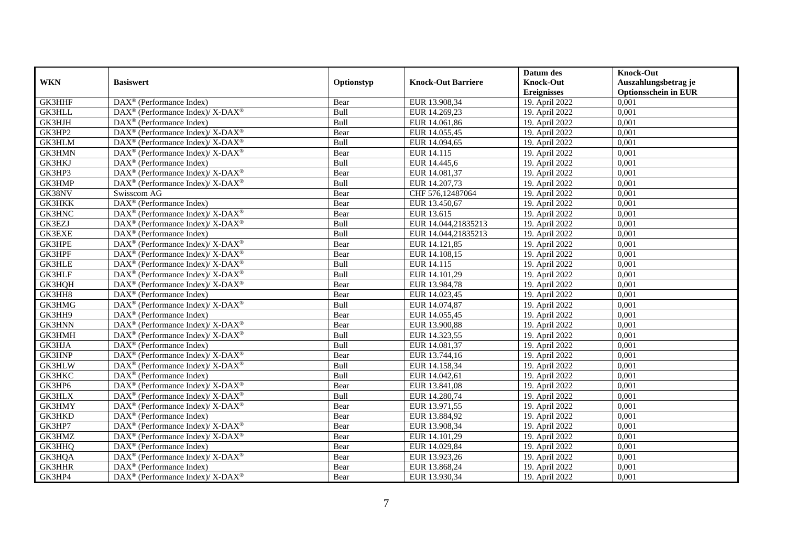|               |                                                                   |             |                           | Datum des                              | <b>Knock-Out</b>                                    |
|---------------|-------------------------------------------------------------------|-------------|---------------------------|----------------------------------------|-----------------------------------------------------|
| <b>WKN</b>    | <b>Basiswert</b>                                                  | Optionstyp  | <b>Knock-Out Barriere</b> | <b>Knock-Out</b><br><b>Ereignisses</b> | Auszahlungsbetrag je<br><b>Optionsschein in EUR</b> |
| <b>GK3HHF</b> | DAX <sup>®</sup> (Performance Index)                              | Bear        | EUR 13.908,34             | 19. April 2022                         | 0,001                                               |
| <b>GK3HLL</b> | DAX <sup>®</sup> (Performance Index)/ X-DAX <sup>®</sup>          | Bull        | EUR 14.269,23             | 19. April 2022                         | 0,001                                               |
| GK3HJH        | $DAX^{\circledast}$ (Performance Index)                           | Bull        | EUR 14.061,86             | 19. April 2022                         | 0,001                                               |
| GK3HP2        | $DAX^{\circledast}$ (Performance Index)/ X-DAX <sup>®</sup>       | Bear        | EUR 14.055,45             | 19. April 2022                         | 0,001                                               |
| GK3HLM        | $DAX^{\circledast}$ (Performance Index)/ X-DAX <sup>®</sup>       | Bull        | EUR 14.094,65             | 19. April 2022                         | 0,001                                               |
| <b>GK3HMN</b> | DAX <sup>®</sup> (Performance Index)/X-DAX <sup>®</sup>           | Bear        | EUR 14.115                | 19. April 2022                         | 0,001                                               |
| GK3HKJ        | $\text{DAX}^{\textcircled{}}$ (Performance Index)                 | Bull        | EUR 14.445,6              | 19. April 2022                         | 0,001                                               |
| GK3HP3        | DAX <sup>®</sup> (Performance Index)/ X-DAX <sup>®</sup>          | Bear        | EUR 14.081,37             | 19. April 2022                         | 0,001                                               |
| GK3HMP        | DAX <sup>®</sup> (Performance Index)/ X-DAX <sup>®</sup>          | Bull        | EUR 14.207,73             | 19. April 2022                         | 0,001                                               |
| GK38NV        | Swisscom AG                                                       | Bear        | CHF 576,12487064          | 19. April 2022                         | 0,001                                               |
| <b>GK3HKK</b> | DAX <sup>®</sup> (Performance Index)                              | Bear        | EUR 13.450,67             | 19. April 2022                         | 0,001                                               |
| <b>GK3HNC</b> | DAX <sup>®</sup> (Performance Index)/X-DAX <sup>®</sup>           | Bear        | EUR 13.615                | 19. April 2022                         | 0,001                                               |
| GK3EZJ        | DAX <sup>®</sup> (Performance Index)/ X-DAX <sup>®</sup>          | Bull        | EUR 14.044,21835213       | 19. April 2022                         | 0,001                                               |
| GK3EXE        | $DAX^{\circledR}$ (Performance Index)                             | Bull        | EUR 14.044,21835213       | 19. April 2022                         | 0,001                                               |
| GK3HPE        | DAX <sup>®</sup> (Performance Index)/ X-DAX <sup>®</sup>          | Bear        | EUR 14.121,85             | 19. April 2022                         | 0,001                                               |
| GK3HPF        | $\text{DAX}^{\circledast}$ (Performance Index)/X-DAX <sup>®</sup> | Bear        | EUR 14.108,15             | 19. April 2022                         | 0,001                                               |
| <b>GK3HLE</b> | $DAX^{\circledast}$ (Performance Index)/X-DAX <sup>®</sup>        | Bull        | EUR 14.115                | 19. April 2022                         | 0,001                                               |
| <b>GK3HLF</b> | $DAX^{\circledcirc}$ (Performance Index)/X-DAX <sup>®</sup>       | <b>Bull</b> | EUR 14.101.29             | 19. April 2022                         | 0,001                                               |
| GK3HQH        | $DAX^{\circledast}$ (Performance Index)/ X-DAX <sup>®</sup>       | Bear        | EUR 13.984,78             | 19. April 2022                         | 0,001                                               |
| GK3HH8        | $DAX^{\circledast}$ (Performance Index)                           | Bear        | EUR 14.023,45             | 19. April 2022                         | 0,001                                               |
| GK3HMG        | DAX <sup>®</sup> (Performance Index)/ X-DAX <sup>®</sup>          | Bull        | EUR 14.074,87             | 19. April 2022                         | 0,001                                               |
| GK3HH9        | $DAX^{\circledR}$ (Performance Index)                             | Bear        | EUR 14.055,45             | 19. April 2022                         | 0,001                                               |
| GK3HNN        | DAX <sup>®</sup> (Performance Index)/ X-DAX <sup>®</sup>          | Bear        | EUR 13.900,88             | 19. April 2022                         | 0,001                                               |
| GK3HMH        | $\text{DAX}^{\circledR}$ (Performance Index)/ X-DAX <sup>®</sup>  | Bull        | EUR 14.323,55             | 19. April 2022                         | 0,001                                               |
| GK3HJA        | DAX <sup>®</sup> (Performance Index)                              | Bull        | EUR 14.081,37             | 19. April 2022                         | 0,001                                               |
| GK3HNP        | $DAX^{\circledast}$ (Performance Index)/ X-DAX <sup>®</sup>       | Bear        | EUR 13.744,16             | 19. April 2022                         | 0,001                                               |
| <b>GK3HLW</b> | $\text{DAX}^{\circledast}$ (Performance Index)/X-DAX <sup>®</sup> | Bull        | EUR 14.158,34             | 19. April 2022                         | 0,001                                               |
| <b>GK3HKC</b> | $DAX^{\circledR}$ (Performance Index)                             | Bull        | EUR 14.042,61             | 19. April 2022                         | 0,001                                               |
| GK3HP6        | DAX <sup>®</sup> (Performance Index)/X-DAX <sup>®</sup>           | Bear        | EUR 13.841,08             | 19. April 2022                         | 0,001                                               |
| <b>GK3HLX</b> | DAX <sup>®</sup> (Performance Index)/X-DAX <sup>®</sup>           | Bull        | EUR 14.280,74             | 19. April 2022                         | 0,001                                               |
| GK3HMY        | DAX <sup>®</sup> (Performance Index)/ X-DAX <sup>®</sup>          | Bear        | EUR 13.971,55             | 19. April 2022                         | 0,001                                               |
| GK3HKD        | DAX <sup>®</sup> (Performance Index)                              | Bear        | EUR 13.884,92             | 19. April 2022                         | 0,001                                               |
| GK3HP7        | DAX <sup>®</sup> (Performance Index)/ X-DAX <sup>®</sup>          | Bear        | EUR 13.908,34             | 19. April 2022                         | 0,001                                               |
| GK3HMZ        | DAX <sup>®</sup> (Performance Index)/ X-DAX <sup>®</sup>          | Bear        | EUR 14.101,29             | 19. April 2022                         | 0,001                                               |
| GK3HHQ        | $DAX^{\circledast}$ (Performance Index)                           | Bear        | EUR 14.029,84             | 19. April 2022                         | 0,001                                               |
| GK3HQA        | $DAX^{\circledast}$ (Performance Index)/ X-DAX <sup>®</sup>       | Bear        | EUR 13.923,26             | 19. April 2022                         | 0,001                                               |
| GK3HHR        | DAX <sup>®</sup> (Performance Index)                              | Bear        | EUR 13.868,24             | 19. April 2022                         | 0,001                                               |
| GK3HP4        | $DAX^{\circledast}$ (Performance Index)/X-DAX <sup>®</sup>        | Bear        | EUR 13.930,34             | 19. April 2022                         | 0,001                                               |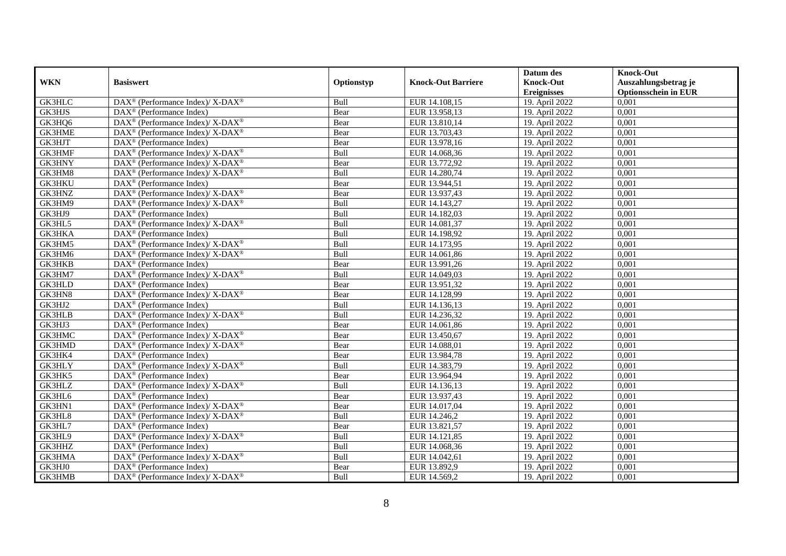|               |                                                                           |             |                           | Datum des          | <b>Knock-Out</b>            |
|---------------|---------------------------------------------------------------------------|-------------|---------------------------|--------------------|-----------------------------|
| <b>WKN</b>    | <b>Basiswert</b>                                                          | Optionstyp  | <b>Knock-Out Barriere</b> | <b>Knock-Out</b>   | Auszahlungsbetrag je        |
|               |                                                                           |             |                           | <b>Ereignisses</b> | <b>Optionsschein in EUR</b> |
| <b>GK3HLC</b> | DAX <sup>®</sup> (Performance Index)/ X-DAX <sup>®</sup>                  | Bull        | EUR 14.108,15             | 19. April 2022     | 0,001                       |
| GK3HJS        | $DAX^{\circledR}$ (Performance Index)                                     | Bear        | EUR 13.958,13             | 19. April 2022     | 0,001                       |
| GK3HQ6        | $\text{DAX}^{\circledast}$ (Performance Index)/X-DAX <sup>®</sup>         | Bear        | EUR 13.810,14             | 19. April 2022     | 0,001                       |
| GK3HME        | $DAX^{\circledast}$ (Performance Index)/ X-DAX <sup>®</sup>               | Bear        | EUR 13.703,43             | 19. April 2022     | 0,001                       |
| GK3HJT        | DAX <sup>®</sup> (Performance Index)                                      | Bear        | EUR 13.978,16             | 19. April 2022     | 0,001                       |
| GK3HMF        | DAX <sup>®</sup> (Performance Index)/ X-DAX <sup>®</sup>                  | Bull        | EUR 14.068,36             | 19. April 2022     | 0,001                       |
| GK3HNY        | $\text{DAX}^{\circledR}$ (Performance Index)/ X-DAX <sup>®</sup>          | Bear        | EUR 13.772,92             | 19. April 2022     | 0,001                       |
| GK3HM8        | DAX <sup>®</sup> (Performance Index)/X-DAX <sup>®</sup>                   | Bull        | EUR 14.280,74             | 19. April 2022     | 0,001                       |
| <b>GK3HKU</b> | $DAX^{\circledR}$ (Performance Index)                                     | Bear        | EUR 13.944,51             | 19. April 2022     | 0,001                       |
| GK3HNZ        | DAX <sup>®</sup> (Performance Index)/ X-DAX <sup>®</sup>                  | Bear        | EUR 13.937,43             | 19. April 2022     | 0,001                       |
| GK3HM9        | $DAX^{\circledast}$ (Performance Index)/X-DAX <sup>®</sup>                | Bull        | EUR 14.143,27             | 19. April 2022     | 0,001                       |
| GK3HJ9        | $\overline{\text{DAX}^{\otimes}}$ (Performance Index)                     | Bull        | EUR 14.182,03             | 19. April 2022     | 0,001                       |
| GK3HL5        | DAX <sup>®</sup> (Performance Index)/ X-DAX <sup>®</sup>                  | Bull        | EUR 14.081,37             | 19. April 2022     | 0,001                       |
| GK3HKA        | $DAX^{\circledast}$ (Performance Index)                                   | Bull        | EUR 14.198,92             | 19. April 2022     | 0,001                       |
| GK3HM5        | $DAX^{\circledast}$ (Performance Index)/ X-DAX <sup>®</sup>               | Bull        | EUR 14.173,95             | 19. April 2022     | 0,001                       |
| GK3HM6        | DAX <sup>®</sup> (Performance Index)/X-DAX <sup>®</sup>                   | Bull        | EUR 14.061,86             | 19. April 2022     | 0,001                       |
| <b>GK3HKB</b> | $DAX^{\circledast}$ (Performance Index)                                   | Bear        | EUR 13.991,26             | 19. April 2022     | 0,001                       |
| GK3HM7        | $DAX^{\circledcirc}$ (Performance Index)/X-DAX <sup>®</sup>               | <b>Bull</b> | EUR 14.049.03             | 19. April 2022     | 0,001                       |
| <b>GK3HLD</b> | $DAX^{\circledR}$ (Performance Index)                                     | Bear        | EUR 13.951,32             | 19. April 2022     | 0,001                       |
| GK3HN8        | DAX <sup>®</sup> (Performance Index)/ X-DAX <sup>®</sup>                  | Bear        | EUR 14.128,99             | 19. April 2022     | 0,001                       |
| GK3HJ2        | $DAX^{\circledast}$ (Performance Index)                                   | Bull        | EUR 14.136,13             | 19. April 2022     | 0,001                       |
| <b>GK3HLB</b> | $DAX^{\circledast}$ (Performance Index)/ $\overline{X-DAX^{\circledast}}$ | Bull        | EUR 14.236,32             | 19. April 2022     | 0,001                       |
| GK3HJ3        | $\text{DAX}^{\textcircled{}}$ (Performance Index)                         | Bear        | EUR 14.061,86             | 19. April 2022     | 0,001                       |
| <b>GK3HMC</b> | DAX <sup>®</sup> (Performance Index)/X-DAX <sup>®</sup>                   | Bear        | EUR 13.450,67             | 19. April 2022     | 0,001                       |
| GK3HMD        | $DAX^{\circledast}$ (Performance Index)/ X-DAX <sup>®</sup>               | Bear        | EUR 14.088,01             | 19. April 2022     | 0,001                       |
| GK3HK4        | $DAX^{\circledast}$ (Performance Index)                                   | Bear        | EUR 13.984,78             | 19. April 2022     | 0,001                       |
| GK3HLY        | $DAX^{\circledast}$ (Performance Index)/ X-DAX <sup>®</sup>               | Bull        | EUR 14.383,79             | 19. April 2022     | 0,001                       |
| GK3HK5        | $DAX^{\circledR}$ (Performance Index)                                     | Bear        | EUR 13.964,94             | 19. April 2022     | 0,001                       |
| GK3HLZ        | DAX <sup>®</sup> (Performance Index)/ X-DAX <sup>®</sup>                  | Bull        | EUR 14.136,13             | 19. April 2022     | 0,001                       |
| GK3HL6        | $DAX^{\circledR}$ (Performance Index)                                     | Bear        | EUR 13.937,43             | 19. April 2022     | 0,001                       |
| GK3HN1        | $DAX^{\circledast}$ (Performance Index)/ X-DAX <sup>®</sup>               | Bear        | EUR 14.017,04             | 19. April 2022     | 0,001                       |
| GK3HL8        | DAX <sup>®</sup> (Performance Index)/X-DAX <sup>®</sup>                   | Bull        | EUR 14.246,2              | 19. April 2022     | 0,001                       |
| GK3HL7        | $\overline{\text{DAX}^{\otimes}}$ (Performance Index)                     | Bear        | EUR 13.821,57             | 19. April 2022     | 0,001                       |
| GK3HL9        | DAX <sup>®</sup> (Performance Index)/ X-DAX <sup>®</sup>                  | Bull        | EUR 14.121,85             | 19. April 2022     | 0,001                       |
| GK3HHZ        | $DAX^{\circledast}$ (Performance Index)                                   | Bull        | EUR 14.068,36             | 19. April 2022     | 0,001                       |
| GK3HMA        | DAX <sup>®</sup> (Performance Index)/ X-DAX <sup>®</sup>                  | Bull        | EUR 14.042,61             | 19. April 2022     | 0,001                       |
| GK3HJ0        | DAX <sup>®</sup> (Performance Index)                                      | Bear        | EUR 13.892,9              | 19. April 2022     | 0,001                       |
| GK3HMB        | $DAX^{\circledast}$ (Performance Index)/X-DAX <sup>®</sup>                | Bull        | EUR 14.569,2              | 19. April 2022     | 0,001                       |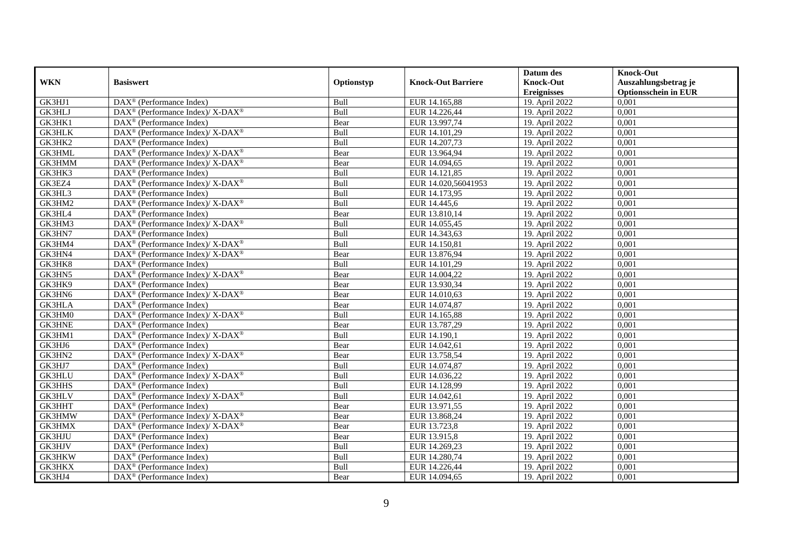|               |                                                                                         |             |                           | Datum des          | <b>Knock-Out</b>            |
|---------------|-----------------------------------------------------------------------------------------|-------------|---------------------------|--------------------|-----------------------------|
| <b>WKN</b>    | <b>Basiswert</b>                                                                        | Optionstyp  | <b>Knock-Out Barriere</b> | <b>Knock-Out</b>   | Auszahlungsbetrag je        |
|               |                                                                                         |             |                           | <b>Ereignisses</b> | <b>Optionsschein in EUR</b> |
| GK3HJ1        | DAX <sup>®</sup> (Performance Index)                                                    | Bull        | EUR 14.165,88             | 19. April 2022     | 0,001                       |
| GK3HLJ        | DAX <sup>®</sup> (Performance Index)/ X-DAX <sup>®</sup>                                | Bull        | EUR 14.226,44             | 19. April 2022     | 0,001                       |
| GK3HK1        | $DAX^{\circledR}$ (Performance Index)                                                   | Bear        | EUR 13.997,74             | 19. April 2022     | 0,001                       |
| <b>GK3HLK</b> | $\text{DAX}^{\circledast}$ (Performance Index)/X-DAX <sup>®</sup>                       | Bull        | EUR 14.101,29             | 19. April 2022     | 0,001                       |
| GK3HK2        | DAX <sup>®</sup> (Performance Index)                                                    | Bull        | EUR 14.207,73             | 19. April 2022     | 0,001                       |
| <b>GK3HML</b> | $DAX^{\circledast}$ (Performance Index)/ X-DAX <sup>®</sup>                             | Bear        | EUR 13.964,94             | 19. April 2022     | 0,001                       |
| GK3HMM        | $DAX^{\circledcirc}$ (Performance Index)/ X-DAX <sup>®</sup>                            | Bear        | EUR 14.094,65             | 19. April 2022     | 0,001                       |
| GK3HK3        | $\text{DAX}^{\textcircled{n}}$ (Performance Index)                                      | Bull        | EUR 14.121,85             | 19. April 2022     | 0,001                       |
| GK3EZ4        | $\text{DAX}^{\circledast}$ (Performance Index)/X-DAX <sup>®</sup>                       | Bull        | EUR 14.020,56041953       | 19. April 2022     | 0,001                       |
| GK3HL3        | DAX <sup>®</sup> (Performance Index)                                                    | Bull        | EUR 14.173,95             | 19. April 2022     | 0,001                       |
| GK3HM2        | DAX <sup>®</sup> (Performance Index)/ X-DAX <sup>®</sup>                                | Bull        | EUR 14.445,6              | 19. April 2022     | 0,001                       |
| GK3HL4        | DAX <sup>®</sup> (Performance Index)                                                    | Bear        | EUR 13.810,14             | 19. April 2022     | 0,001                       |
| GK3HM3        | $\text{DAX}^{\circledast}$ (Performance Index)/ X-DAX <sup>®</sup>                      | Bull        | EUR 14.055,45             | 19. April 2022     | 0,001                       |
| GK3HN7        | $DAX^{\circledR}$ (Performance Index)                                                   | <b>Bull</b> | EUR 14.343,63             | 19. April 2022     | 0,001                       |
| GK3HM4        | DAX <sup>®</sup> (Performance Index)/ X-DAX <sup>®</sup>                                | Bull        | EUR 14.150,81             | 19. April 2022     | 0,001                       |
| GK3HN4        | DAX <sup>®</sup> (Performance Index)/ X-DAX <sup>®</sup>                                | Bear        | EUR 13.876,94             | 19. April 2022     | 0,001                       |
| GK3HK8        | DAX <sup>®</sup> (Performance Index)                                                    | Bull        | EUR 14.101,29             | 19. April 2022     | 0,001                       |
| GK3HN5        | DAX <sup>®</sup> (Performance Index)/ X-DAX <sup>®</sup>                                | Bear        | EUR 14.004,22             | 19. April 2022     | 0,001                       |
| GK3HK9        | DAX <sup>®</sup> (Performance Index)                                                    | Bear        | EUR 13.930,34             | 19. April 2022     | 0,001                       |
| GK3HN6        | DAX <sup>®</sup> (Performance Index)/ X-DAX <sup>®</sup>                                | Bear        | EUR 14.010,63             | 19. April 2022     | 0,001                       |
| <b>GK3HLA</b> | $\text{DAX}^{\textcircled{n}}$ (Performance Index)                                      | Bear        | EUR 14.074,87             | 19. April 2022     | 0,001                       |
| GK3HM0        | $\text{DAX}^{\textcircled{\tiny{\textcircled{\tiny \dag}}}}$ (Performance Index)/X-DAX® | <b>Bull</b> | EUR 14.165,88             | 19. April 2022     | 0,001                       |
| <b>GK3HNE</b> | $\text{DAX}^{\textcircled{p}}$ (Performance Index)                                      | Bear        | EUR 13.787,29             | 19. April 2022     | 0,001                       |
| GK3HM1        | $DAX^{\circledcirc}$ (Performance Index)/ X-DAX <sup>®</sup>                            | Bull        | EUR 14.190,1              | 19. April 2022     | 0,001                       |
| GK3HJ6        | $DAX^{\circledR}$ (Performance Index)                                                   | Bear        | EUR 14.042,61             | 19. April 2022     | 0,001                       |
| GK3HN2        | $DAX^{\circledast}$ (Performance Index)/X-DAX <sup>®</sup>                              | Bear        | EUR 13.758,54             | 19. April 2022     | 0,001                       |
| GK3HJ7        | DAX <sup>®</sup> (Performance Index)                                                    | Bull        | EUR 14.074,87             | 19. April 2022     | 0,001                       |
| <b>GK3HLU</b> | DAX <sup>®</sup> (Performance Index)/ X-DAX <sup>®</sup>                                | Bull        | EUR 14.036,22             | 19. April 2022     | 0,001                       |
| <b>GK3HHS</b> | $\text{DAX}^{\textcircled{n}}$ (Performance Index)                                      | Bull        | EUR 14.128,99             | 19. April 2022     | 0,001                       |
| <b>GK3HLV</b> | $\text{DAX}^{\circledast}$ (Performance Index)/X-DAX <sup>®</sup>                       | Bull        | EUR 14.042,61             | 19. April 2022     | 0,001                       |
| GK3HHT        | $DAX^{\otimes}$ (Performance Index)                                                     | Bear        | EUR 13.971,55             | 19. April 2022     | 0,001                       |
| GK3HMW        | DAX <sup>®</sup> (Performance Index)/ X-DAX <sup>®</sup>                                | Bear        | EUR 13.868,24             | 19. April 2022     | 0,001                       |
| GK3HMX        | $DAX^{\circledast}$ (Performance Index)/ $X$ - $\overline{DAX^{\circledast}}$           | Bear        | EUR 13.723,8              | 19. April 2022     | 0,001                       |
| <b>GK3HJU</b> | DAX <sup>®</sup> (Performance Index)                                                    | Bear        | EUR 13.915,8              | 19. April 2022     | 0,001                       |
| GK3HJV        | $\text{DAX}^{\textcircled{n}}$ (Performance Index)                                      | Bull        | EUR 14.269,23             | 19. April 2022     | 0,001                       |
| GK3HKW        | $\text{DAX}^{\textcircled{n}}$ (Performance Index)                                      | Bull        | EUR 14.280,74             | 19. April 2022     | 0,001                       |
| GK3HKX        | $\text{DAX}^{\otimes}$ (Performance Index)                                              | Bull        | EUR 14.226,44             | 19. April 2022     | 0,001                       |
| GK3HJ4        | $\text{DAX}^{\textcircled{n}}$ (Performance Index)                                      | Bear        | EUR 14.094,65             | 19. April 2022     | 0,001                       |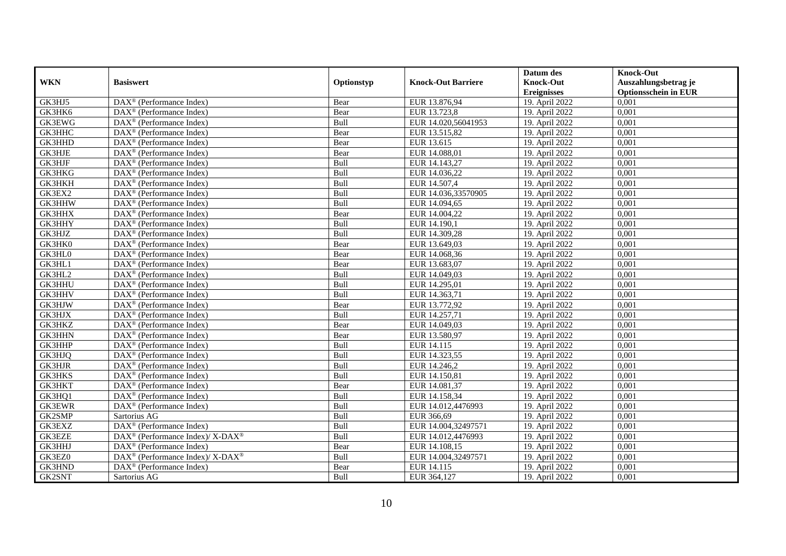|               |                                                                  |             |                           | Datum des          | <b>Knock-Out</b>            |
|---------------|------------------------------------------------------------------|-------------|---------------------------|--------------------|-----------------------------|
| <b>WKN</b>    | <b>Basiswert</b>                                                 | Optionstyp  | <b>Knock-Out Barriere</b> | <b>Knock-Out</b>   | Auszahlungsbetrag je        |
|               |                                                                  |             |                           | <b>Ereignisses</b> | <b>Optionsschein in EUR</b> |
| GK3HJ5        | DAX <sup>®</sup> (Performance Index)                             | Bear        | EUR 13.876,94             | 19. April 2022     | 0,001                       |
| GK3HK6        | $\text{DAX}^{\circledast}$ (Performance Index)                   | Bear        | EUR 13.723,8              | 19. April 2022     | 0,001                       |
| <b>GK3EWG</b> | $DAX^{\circledR}$ (Performance Index)                            | Bull        | EUR 14.020,56041953       | 19. April 2022     | 0,001                       |
| GK3HHC        | DAX <sup>®</sup> (Performance Index)                             | Bear        | EUR 13.515,82             | 19. April 2022     | 0,001                       |
| GK3HHD        | DAX <sup>®</sup> (Performance Index)                             | Bear        | EUR 13.615                | 19. April 2022     | 0,001                       |
| <b>GK3HJE</b> | $\text{DAX}^{\textcircled{p}}$ (Performance Index)               | Bear        | EUR 14.088,01             | 19. April 2022     | 0,001                       |
| <b>GK3HJF</b> | $DAX^{\otimes}$ (Performance Index)                              | Bull        | EUR 14.143,27             | 19. April 2022     | 0,001                       |
| GK3HKG        | $\overline{\text{DAX}}^{\textcirc}$ (Performance Index)          | Bull        | EUR 14.036,22             | 19. April 2022     | 0,001                       |
| GK3HKH        | $\text{DAX}^{\textcircled{n}}$ (Performance Index)               | Bull        | EUR 14.507,4              | 19. April 2022     | 0,001                       |
| GK3EX2        | DAX <sup>®</sup> (Performance Index)                             | Bull        | EUR 14.036,33570905       | 19. April 2022     | 0,001                       |
| GK3HHW        | $\overline{\text{DAX}^{\otimes}}$ (Performance Index)            | Bull        | EUR 14.094,65             | 19. April 2022     | 0,001                       |
| GK3HHX        | DAX <sup>®</sup> (Performance Index)                             | Bear        | EUR 14.004,22             | 19. April 2022     | 0,001                       |
| GK3HHY        | $\text{DAX}^{\textcircled{n}}$ (Performance Index)               | Bull        | EUR 14.190,1              | 19. April 2022     | 0,001                       |
| GK3HJZ        | DAX <sup>®</sup> (Performance Index)                             | <b>Bull</b> | EUR 14.309,28             | 19. April 2022     | 0.001                       |
| GK3HK0        | $\overline{\text{DAX}^{\otimes}}$ (Performance Index)            | Bear        | EUR 13.649,03             | 19. April 2022     | 0,001                       |
| GK3HL0        | DAX <sup>®</sup> (Performance Index)                             | Bear        | EUR 14.068,36             | 19. April 2022     | 0,001                       |
| GK3HL1        | DAX <sup>®</sup> (Performance Index)                             | Bear        | EUR 13.683,07             | 19. April 2022     | 0,001                       |
| GK3HL2        | DAX <sup>®</sup> (Performance Index)                             | Bull        | EUR 14.049,03             | 19. April 2022     | 0,001                       |
| GK3HHU        | $\text{DAX}^{\textcircled{n}}$ (Performance Index)               | Bull        | EUR 14.295,01             | 19. April 2022     | 0,001                       |
| GK3HHV        | $\text{DAX}^{\otimes}$ (Performance Index)                       | Bull        | EUR 14.363,71             | 19. April 2022     | 0,001                       |
| GK3HJW        | DAX <sup>®</sup> (Performance Index)                             | Bear        | EUR 13.772,92             | 19. April 2022     | 0,001                       |
| GK3HJX        | $DAX^{\circledR}$ (Performance Index)                            | <b>Bull</b> | EUR 14.257,71             | 19. April 2022     | 0,001                       |
| <b>GK3HKZ</b> | $\text{DAX}^{\textcircled{D}}$ (Performance Index)               | Bear        | EUR 14.049,03             | 19. April 2022     | 0,001                       |
| <b>GK3HHN</b> | $\text{DAX}^{\textcircled{p}}$ (Performance Index)               | Bear        | EUR 13.580,97             | 19. April 2022     | 0,001                       |
| GK3HHP        | $DAX^{\circledR}$ (Performance Index)                            | Bull        | EUR 14.115                | 19. April 2022     | 0,001                       |
| GK3HJQ        | $\text{DAX}^{\otimes}$ (Performance Index)                       | Bull        | EUR 14.323,55             | 19. April 2022     | 0,001                       |
| <b>GK3HJR</b> | DAX <sup>®</sup> (Performance Index)                             | Bull        | EUR 14.246,2              | 19. April 2022     | 0,001                       |
| GK3HKS        | DAX <sup>®</sup> (Performance Index)                             | Bull        | EUR 14.150,81             | 19. April 2022     | 0,001                       |
| GK3HKT        | $\text{DAX}^{\textcircled{n}}$ (Performance Index)               | Bear        | EUR 14.081,37             | 19. April 2022     | 0,001                       |
| GK3HQ1        | $\overline{\text{DAX}}^{\textcirc}$ (Performance Index)          | Bull        | EUR 14.158,34             | 19. April 2022     | 0,001                       |
| <b>GK3EWR</b> | DAX <sup>®</sup> (Performance Index)                             | Bull        | EUR 14.012,4476993        | 19. April 2022     | 0,001                       |
| GK2SMP        | Sartorius AG                                                     | Bull        | EUR 366,69                | 19. April 2022     | 0,001                       |
| GK3EXZ        | DAX <sup>®</sup> (Performance Index)                             | Bull        | EUR 14.004,32497571       | 19. April 2022     | 0,001                       |
| <b>GK3EZE</b> | $\text{DAX}^{\circledR}$ (Performance Index)/ X-DAX <sup>®</sup> | Bull        | EUR 14.012,4476993        | 19. April 2022     | 0,001                       |
| GK3HHJ        | $\text{DAX}^{\circledast}$ (Performance Index)                   | Bear        | EUR 14.108,15             | 19. April 2022     | 0,001                       |
| GK3EZ0        | DAX <sup>®</sup> (Performance Index)/X-DAX <sup>®</sup>          | Bull        | EUR 14.004,32497571       | 19. April 2022     | 0,001                       |
| GK3HND        | $\text{DAX}^{\circledast}$ (Performance Index)                   | Bear        | EUR 14.115                | 19. April 2022     | 0,001                       |
| GK2SNT        | Sartorius AG                                                     | Bull        | EUR 364,127               | 19. April 2022     | 0,001                       |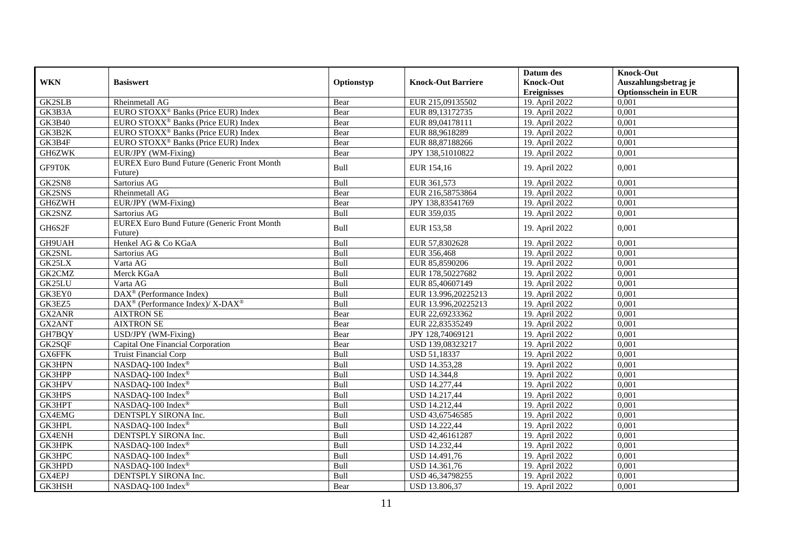|               |                                                         |            |                           | Datum des          | <b>Knock-Out</b>            |
|---------------|---------------------------------------------------------|------------|---------------------------|--------------------|-----------------------------|
| <b>WKN</b>    | <b>Basiswert</b>                                        | Optionstyp | <b>Knock-Out Barriere</b> | <b>Knock-Out</b>   | Auszahlungsbetrag je        |
|               |                                                         |            |                           | <b>Ereignisses</b> | <b>Optionsschein in EUR</b> |
| <b>GK2SLB</b> | Rheinmetall AG                                          | Bear       | EUR 215,09135502          | 19. April 2022     | 0,001                       |
| GK3B3A        | EURO STOXX <sup>®</sup> Banks (Price EUR) Index         | Bear       | EUR 89,13172735           | 19. April 2022     | 0,001                       |
| <b>GK3B40</b> | EURO STOXX <sup>®</sup> Banks (Price EUR) Index         | Bear       | EUR 89,04178111           | 19. April 2022     | 0,001                       |
| GK3B2K        | EURO STOXX <sup>®</sup> Banks (Price EUR) Index         | Bear       | EUR 88,9618289            | 19. April 2022     | 0,001                       |
| GK3B4F        | EURO STOXX <sup>®</sup> Banks (Price EUR) Index         | Bear       | EUR 88,87188266           | 19. April 2022     | 0,001                       |
| GH6ZWK        | EUR/JPY (WM-Fixing)                                     | Bear       | JPY 138,51010822          | 19. April 2022     | 0,001                       |
|               | <b>EUREX Euro Bund Future (Generic Front Month</b>      |            |                           |                    |                             |
| GF9T0K        | Future)                                                 | Bull       | EUR 154,16                | 19. April 2022     | 0,001                       |
| GK2SN8        | Sartorius AG                                            | Bull       | EUR 361,573               | 19. April 2022     | 0,001                       |
| GK2SNS        | Rheinmetall AG                                          | Bear       | EUR 216,58753864          | 19. April 2022     | 0,001                       |
| GH6ZWH        | EUR/JPY (WM-Fixing)                                     | Bear       | JPY 138,83541769          | 19. April 2022     | 0,001                       |
| GK2SNZ        | Sartorius AG                                            | Bull       | EUR 359,035               | 19. April 2022     | 0.001                       |
|               | EUREX Euro Bund Future (Generic Front Month             | Bull       |                           |                    |                             |
| GH6S2F        | Future)                                                 |            | EUR 153,58                | 19. April 2022     | 0,001                       |
| GH9UAH        | Henkel AG & Co KGaA                                     | Bull       | EUR 57,8302628            | 19. April 2022     | 0,001                       |
| GK2SNL        | Sartorius AG                                            | Bull       | EUR 356,468               | 19. April 2022     | 0,001                       |
| GK25LX        | Varta AG                                                | Bull       | EUR 85,8590206            | 19. April 2022     | 0,001                       |
| GK2CMZ        | Merck KGaA                                              | Bull       | EUR 178,50227682          | 19. April 2022     | 0,001                       |
| GK25LU        | Varta AG                                                | Bull       | EUR 85,40607149           | 19. April 2022     | 0,001                       |
| GK3EY0        | DAX <sup>®</sup> (Performance Index)                    | Bull       | EUR 13.996,20225213       | 19. April 2022     | 0,001                       |
| GK3EZ5        | DAX <sup>®</sup> (Performance Index)/X-DAX <sup>®</sup> | Bull       | EUR 13.996,20225213       | 19. April 2022     | 0,001                       |
| GX2ANR        | <b>AIXTRON SE</b>                                       | Bear       | EUR 22,69233362           | 19. April 2022     | 0,001                       |
| GX2ANT        | <b>AIXTRON SE</b>                                       | Bear       | EUR 22,83535249           | 19. April 2022     | 0,001                       |
| GH7BQY        | USD/JPY (WM-Fixing)                                     | Bear       | JPY 128,74069121          | 19. April 2022     | 0,001                       |
| GK2SQF        | Capital One Financial Corporation                       | Bear       | USD 139,08323217          | 19. April 2022     | 0,001                       |
| GX6FFK        | Truist Financial Corp                                   | Bull       | USD 51,18337              | 19. April 2022     | 0,001                       |
| <b>GK3HPN</b> | NASDAQ-100 Index®                                       | Bull       | USD 14.353,28             | 19. April 2022     | 0,001                       |
| GK3HPP        | NASDAQ-100 Index®                                       | Bull       | <b>USD 14.344,8</b>       | 19. April 2022     | 0,001                       |
| GK3HPV        | NASDAQ-100 Index®                                       | Bull       | USD 14.277,44             | 19. April 2022     | 0,001                       |
| GK3HPS        | NASDAQ-100 Index®                                       | Bull       | <b>USD 14.217,44</b>      | 19. April 2022     | 0,001                       |
| GK3HPT        | NASDAQ-100 Index®                                       | Bull       | <b>USD 14.212,44</b>      | 19. April 2022     | 0,001                       |
| GX4EMG        | DENTSPLY SIRONA Inc.                                    | Bull       | USD 43,67546585           | 19. April 2022     | 0,001                       |
| GK3HPL        | NASDAQ-100 Index®                                       | Bull       | USD 14.222,44             | 19. April 2022     | 0,001                       |
| <b>GX4ENH</b> | DENTSPLY SIRONA Inc.                                    | Bull       | USD 42,46161287           | 19. April 2022     | 0,001                       |
| <b>GK3HPK</b> | NASDAQ-100 Index®                                       | Bull       | USD 14.232,44             | 19. April 2022     | 0,001                       |
| GK3HPC        | NASDAQ-100 Index®                                       | Bull       | USD 14.491,76             | 19. April 2022     | 0,001                       |
| GK3HPD        | NASDAQ-100 Index®                                       | Bull       | USD 14.361,76             | 19. April 2022     | 0,001                       |
| GX4EPJ        | DENTSPLY SIRONA Inc.                                    | Bull       | USD 46,34798255           | 19. April 2022     | 0,001                       |
| <b>GK3HSH</b> | NASDAQ-100 Index®                                       | Bear       | USD 13.806,37             | 19. April 2022     | 0,001                       |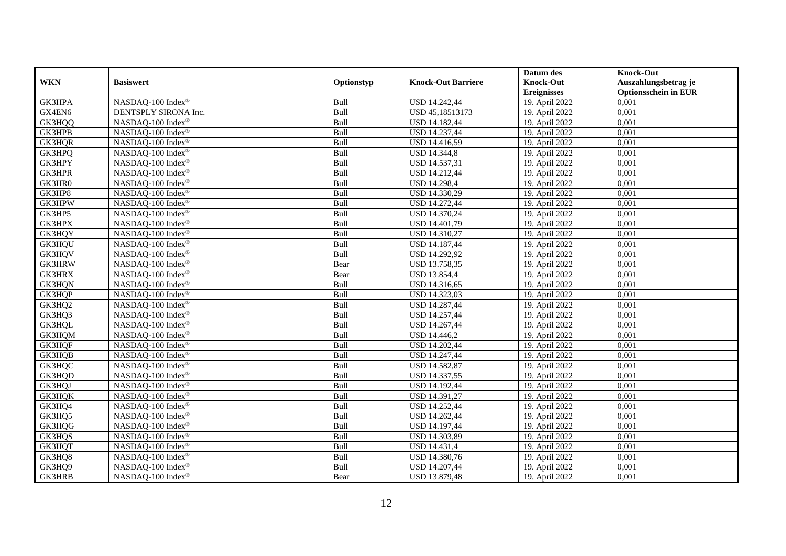|               |                                 |            |                           | Datum des          | <b>Knock-Out</b>            |
|---------------|---------------------------------|------------|---------------------------|--------------------|-----------------------------|
| <b>WKN</b>    | <b>Basiswert</b>                | Optionstyp | <b>Knock-Out Barriere</b> | <b>Knock-Out</b>   | Auszahlungsbetrag je        |
|               |                                 |            |                           | <b>Ereignisses</b> | <b>Optionsschein in EUR</b> |
| GK3HPA        | NASDAQ-100 Index®               | Bull       | USD 14.242,44             | 19. April 2022     | 0,001                       |
| GX4EN6        | DENTSPLY SIRONA Inc.            | Bull       | USD 45,18513173           | 19. April 2022     | 0,001                       |
| GK3HQQ        | NASDAQ-100 Index®               | Bull       | <b>USD 14.182,44</b>      | 19. April 2022     | 0,001                       |
| GK3HPB        | NASDAQ-100 Index®               | Bull       | USD 14.237,44             | 19. April 2022     | 0,001                       |
| GK3HQR        | NASDAQ-100 Index®               | Bull       | <b>USD 14.416,59</b>      | 19. April 2022     | 0,001                       |
| GK3HPQ        | NASDAQ-100 Index®               | Bull       | <b>USD 14.344,8</b>       | 19. April 2022     | 0,001                       |
| GK3HPY        | NASDAQ-100 Index®               | Bull       | USD 14.537,31             | 19. April 2022     | 0,001                       |
| <b>GK3HPR</b> | NASDAQ-100 Index®               | Bull       | USD 14.212,44             | 19. April 2022     | 0,001                       |
| GK3HR0        | NASDAQ-100 Index <sup>®</sup>   | Bull       | USD 14.298,4              | 19. April 2022     | 0,001                       |
| GK3HP8        | NASDAQ-100 Index®               | Bull       | USD 14.330,29             | 19. April 2022     | 0,001                       |
| GK3HPW        | NASDAQ-100 Index®               | Bull       | <b>USD 14.272,44</b>      | 19. April 2022     | 0.001                       |
| GK3HP5        | NASDAQ-100 Index®               | Bull       | USD 14.370,24             | 19. April 2022     | 0,001                       |
| <b>GK3HPX</b> | NASDAQ-100 Index®               | Bull       | USD 14.401,79             | 19. April 2022     | 0,001                       |
| GK3HQY        | NASDAQ-100 Index®               | Bull       | USD 14.310,27             | 19. April 2022     | 0,001                       |
| GK3HQU        | NASDAQ-100 Index®               | Bull       | USD 14.187,44             | 19. April 2022     | 0,001                       |
| GK3HQV        | NASDAQ-100 Index®               | Bull       | USD 14.292,92             | 19. April 2022     | 0,001                       |
| <b>GK3HRW</b> | NASDAQ-100 Index®               | Bear       | USD 13.758,35             | 19. April 2022     | 0,001                       |
| <b>GK3HRX</b> | NASDAQ-100 Index®               | Bear       | <b>USD 13.854,4</b>       | 19. April 2022     | 0,001                       |
| GK3HQN        | NASDAQ-100 Index®               | Bull       | USD 14.316,65             | 19. April 2022     | 0,001                       |
| GK3HQP        | $NASDAQ-100$ Index <sup>®</sup> | Bull       | USD 14.323,03             | 19. April 2022     | 0,001                       |
| GK3HQ2        | NASDAQ-100 Index®               | Bull       | USD 14.287,44             | 19. April 2022     | 0,001                       |
| GK3HQ3        | NASDAQ-100 Index®               | Bull       | USD 14.257,44             | 19. April 2022     | 0,001                       |
| GK3HQL        | NASDAQ-100 Index®               | Bull       | USD 14.267,44             | 19. April 2022     | 0,001                       |
| GK3HQM        | $NASDAQ-100$ Index <sup>®</sup> | Bull       | USD 14.446,2              | 19. April 2022     | 0,001                       |
| GK3HQF        | NASDAO-100 Index <sup>®</sup>   | Bull       | USD 14.202,44             | 19. April 2022     | 0,001                       |
| GK3HQB        | NASDAQ-100 Index®               | Bull       | USD 14.247,44             | 19. April 2022     | 0,001                       |
| GK3HQC        | NASDAQ-100 Index®               | Bull       | USD 14.582,87             | 19. April 2022     | 0,001                       |
| GK3HQD        | NASDAQ-100 Index®               | Bull       | USD 14.337,55             | 19. April 2022     | 0,001                       |
| GK3HQJ        | NASDAQ-100 Index®               | Bull       | USD 14.192,44             | 19. April 2022     | 0,001                       |
| GK3HQK        | NASDAQ-100 Index®               | Bull       | USD 14.391,27             | 19. April 2022     | 0,001                       |
| GK3HQ4        | NASDAQ-100 Index®               | Bull       | USD 14.252,44             | 19. April 2022     | 0,001                       |
| GK3HQ5        | NASDAQ-100 Index®               | Bull       | USD 14.262,44             | 19. April 2022     | 0,001                       |
| GK3HQG        | NASDAQ-100 Index®               | Bull       | USD 14.197,44             | 19. April 2022     | 0,001                       |
| GK3HQS        | NASDAQ-100 Index®               | Bull       | USD 14.303,89             | 19. April 2022     | 0,001                       |
| GK3HQT        | NASDAQ-100 Index®               | Bull       | USD 14.431,4              | 19. April 2022     | 0,001                       |
| GK3HQ8        | NASDAQ-100 Index <sup>®</sup>   | Bull       | USD 14.380,76             | 19. April 2022     | 0,001                       |
| GK3HQ9        | NASDAQ-100 Index®               | Bull       | USD 14.207,44             | 19. April 2022     | 0,001                       |
| <b>GK3HRB</b> | NASDAQ-100 Index®               | Bear       | USD 13.879,48             | 19. April 2022     | 0,001                       |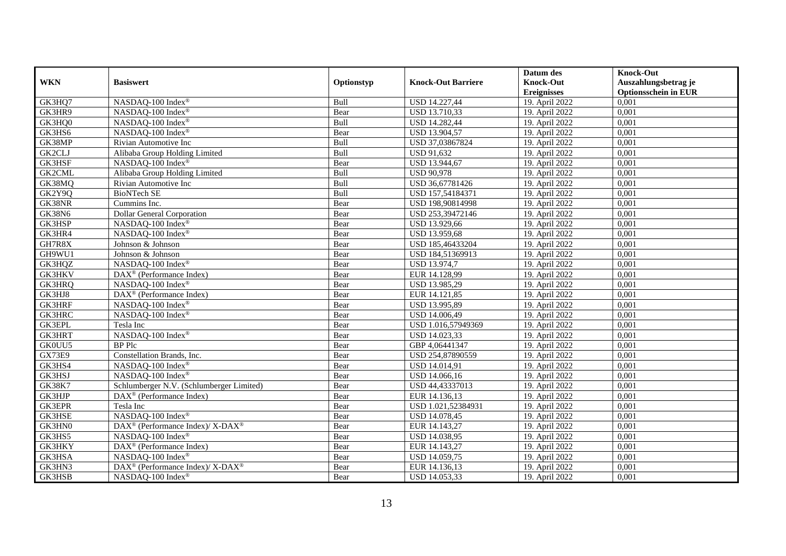|               |                                                          |            |                           | Datum des          | <b>Knock-Out</b>            |
|---------------|----------------------------------------------------------|------------|---------------------------|--------------------|-----------------------------|
| <b>WKN</b>    | <b>Basiswert</b>                                         | Optionstyp | <b>Knock-Out Barriere</b> | <b>Knock-Out</b>   | Auszahlungsbetrag je        |
|               |                                                          |            |                           | <b>Ereignisses</b> | <b>Optionsschein in EUR</b> |
| GK3HQ7        | NASDAQ-100 Index®                                        | Bull       | <b>USD 14.227,44</b>      | 19. April 2022     | 0,001                       |
| GK3HR9        | NASDAQ-100 Index®                                        | Bear       | USD 13.710,33             | 19. April 2022     | 0,001                       |
| GK3HQ0        | NASDAQ-100 Index®                                        | Bull       | USD 14.282,44             | 19. April 2022     | 0,001                       |
| GK3HS6        | NASDAQ-100 Index®                                        | Bear       | USD 13.904,57             | 19. April 2022     | 0,001                       |
| GK38MP        | Rivian Automotive Inc                                    | Bull       | USD 37,03867824           | 19. April 2022     | 0,001                       |
| GK2CLJ        | Alibaba Group Holding Limited                            | Bull       | <b>USD 91,632</b>         | 19. April 2022     | 0,001                       |
| GK3HSF        | NASDAQ-100 Index®                                        | Bear       | USD 13.944,67             | 19. April 2022     | 0,001                       |
| <b>GK2CML</b> | Alibaba Group Holding Limited                            | Bull       | <b>USD 90,978</b>         | 19. April 2022     | 0,001                       |
| GK38MQ        | Rivian Automotive Inc                                    | Bull       | USD 36,67781426           | 19. April 2022     | 0,001                       |
| GK2Y9Q        | <b>BioNTech SE</b>                                       | Bull       | USD 157,54184371          | 19. April 2022     | 0,001                       |
| GK38NR        | Cummins Inc.                                             | Bear       | USD 198,90814998          | 19. April 2022     | 0,001                       |
| GK38N6        | <b>Dollar General Corporation</b>                        | Bear       | USD 253,39472146          | 19. April 2022     | 0,001                       |
| GK3HSP        | NASDAQ-100 Index®                                        | Bear       | USD 13.929,66             | 19. April 2022     | 0,001                       |
| GK3HR4        | NASDAQ-100 Index®                                        | Bear       | USD 13.959,68             | 19. April 2022     | 0,001                       |
| GH7R8X        | Johnson & Johnson                                        | Bear       | USD 185,46433204          | 19. April 2022     | 0,001                       |
| GH9WU1        | Johnson & Johnson                                        | Bear       | USD 184,51369913          | 19. April 2022     | 0,001                       |
| GK3HQZ        | NASDAQ-100 Index®                                        | Bear       | <b>USD 13.974,7</b>       | 19. April 2022     | 0,001                       |
| <b>GK3HKV</b> | $DAX^{\circledR}$ (Performance Index)                    | Bear       | EUR 14.128.99             | 19. April 2022     | 0,001                       |
| GK3HRQ        | NASDAQ-100 Index®                                        | Bear       | USD 13.985,29             | 19. April 2022     | 0,001                       |
| GK3HJ8        | DAX <sup>®</sup> (Performance Index)                     | Bear       | EUR 14.121,85             | 19. April 2022     | 0,001                       |
| <b>GK3HRF</b> | NASDAQ-100 Index®                                        | Bear       | USD 13.995,89             | 19. April 2022     | 0,001                       |
| <b>GK3HRC</b> | NASDAQ-100 Index®                                        | Bear       | USD 14.006,49             | 19. April 2022     | 0,001                       |
| <b>GK3EPL</b> | Tesla Inc                                                | Bear       | USD 1.016,57949369        | 19. April 2022     | 0,001                       |
| <b>GK3HRT</b> | NASDAQ-100 Index®                                        | Bear       | USD 14.023,33             | 19. April 2022     | 0,001                       |
| GK0UU5        | <b>BP</b> Plc                                            | Bear       | GBP 4,06441347            | 19. April 2022     | 0,001                       |
| GX73E9        | Constellation Brands, Inc.                               | Bear       | USD 254,87890559          | 19. April 2022     | 0,001                       |
| GK3HS4        | NASDAQ-100 Index®                                        | Bear       | USD 14.014,91             | 19. April 2022     | 0,001                       |
| GK3HSJ        | NASDAQ-100 Index®                                        | Bear       | USD 14.066,16             | 19. April 2022     | 0,001                       |
| <b>GK38K7</b> | Schlumberger N.V. (Schlumberger Limited)                 | Bear       | USD 44,43337013           | 19. April 2022     | 0,001                       |
| GK3HJP        | DAX <sup>®</sup> (Performance Index)                     | Bear       | EUR 14.136,13             | 19. April 2022     | 0,001                       |
| <b>GK3EPR</b> | Tesla Inc                                                | Bear       | USD 1.021,52384931        | 19. April 2022     | 0,001                       |
| <b>GK3HSE</b> | NASDAQ-100 Index®                                        | Bear       | USD 14.078,45             | 19. April 2022     | 0,001                       |
| GK3HN0        | DAX <sup>®</sup> (Performance Index)/X-DAX <sup>®</sup>  | Bear       | EUR 14.143,27             | 19. April 2022     | 0,001                       |
| GK3HS5        | NASDAQ-100 Index®                                        | Bear       | USD 14.038,95             | 19. April 2022     | 0,001                       |
| GK3HKY        | DAX <sup>®</sup> (Performance Index)                     | Bear       | EUR 14.143,27             | 19. April 2022     | 0,001                       |
| GK3HSA        | NASDAQ-100 Index®                                        | Bear       | USD 14.059,75             | 19. April 2022     | 0,001                       |
| GK3HN3        | DAX <sup>®</sup> (Performance Index)/ X-DAX <sup>®</sup> | Bear       | EUR 14.136,13             | 19. April 2022     | 0,001                       |
| GK3HSB        | NASDAQ-100 Index®                                        | Bear       | USD 14.053,33             | 19. April 2022     | 0,001                       |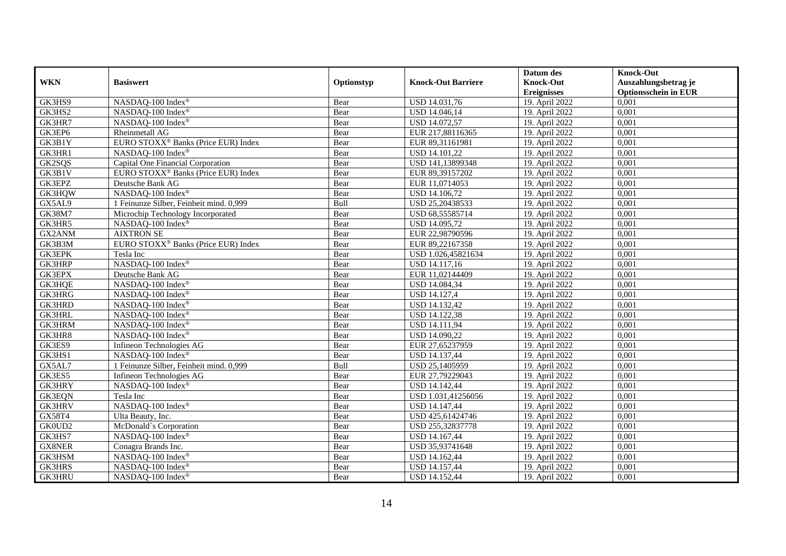|               |                                                 |            |                           | Datum des                   | <b>Knock-Out</b>            |
|---------------|-------------------------------------------------|------------|---------------------------|-----------------------------|-----------------------------|
| <b>WKN</b>    | <b>Basiswert</b>                                | Optionstyp | <b>Knock-Out Barriere</b> | <b>Knock-Out</b>            | Auszahlungsbetrag je        |
|               |                                                 |            |                           | <b>Ereignisses</b>          | <b>Optionsschein in EUR</b> |
| GK3HS9        | NASDAQ-100 Index®                               | Bear       | USD 14.031,76             | 19. April 2022              | 0,001                       |
| GK3HS2        | NASDAQ-100 Index®                               | Bear       | USD 14.046,14             | 19. April 2022              | 0,001                       |
| GK3HR7        | NASDAQ-100 Index®                               | Bear       | USD 14.072,57             | 19. April 2022              | 0,001                       |
| GK3EP6        | Rheinmetall AG                                  | Bear       | EUR 217,88116365          | 19. April 2022              | 0,001                       |
| GK3B1Y        | EURO STOXX <sup>®</sup> Banks (Price EUR) Index | Bear       | EUR 89,31161981           | 19. April 2022              | 0,001                       |
| GK3HR1        | NASDAQ-100 Index®                               | Bear       | USD 14.101,22             | 19. April 2022              | 0,001                       |
| GK2SQS        | Capital One Financial Corporation               | Bear       | USD 141,13899348          | 19. April 2022              | 0,001                       |
| GK3B1V        | EURO STOXX <sup>®</sup> Banks (Price EUR) Index | Bear       | EUR 89,39157202           | 19. April 2022              | 0,001                       |
| GK3EPZ        | Deutsche Bank AG                                | Bear       | EUR 11,0714053            | 19. April 2022              | 0,001                       |
| GK3HQW        | NASDAQ-100 Index®                               | Bear       | <b>USD 14.106,72</b>      | 19. April 2022              | 0,001                       |
| GX5AL9        | 1 Feinunze Silber, Feinheit mind. 0,999         | Bull       | USD 25,20438533           | 19. April 2022              | 0,001                       |
| <b>GK38M7</b> | Microchip Technology Incorporated               | Bear       | USD 68,55585714           | 19. April $20\overline{22}$ | 0,001                       |
| GK3HR5        | NASDAQ-100 Index®                               | Bear       | USD 14.095,72             | 19. April 2022              | 0,001                       |
| GX2ANM        | <b>AIXTRON SE</b>                               | Bear       | EUR 22,98790596           | 19. April 2022              | 0,001                       |
| GK3B3M        | EURO STOXX <sup>®</sup> Banks (Price EUR) Index | Bear       | EUR 89,22167358           | 19. April 2022              | 0,001                       |
| GK3EPK        | Tesla Inc                                       | Bear       | USD 1.026,45821634        | 19. April 2022              | 0,001                       |
| <b>GK3HRP</b> | NASDAQ-100 Index®                               | Bear       | USD 14.117,16             | 19. April 2022              | 0,001                       |
| GK3EPX        | Deutsche Bank AG                                | Bear       | EUR 11,02144409           | 19. April 2022              | 0,001                       |
| GK3HQE        | NASDAQ-100 Index®                               | Bear       | USD 14.084,34             | 19. April 2022              | 0,001                       |
| GK3HRG        | NASDAQ-100 Index®                               | Bear       | <b>USD 14.127,4</b>       | 19. April 2022              | 0,001                       |
| <b>GK3HRD</b> | NASDAQ-100 Index®                               | Bear       | USD 14.132,42             | 19. April 2022              | 0,001                       |
| <b>GK3HRL</b> | NASDAQ-100 Index®                               | Bear       | USD 14.122,38             | 19. April 2022              | 0,001                       |
| GK3HRM        | NASDAQ-100 Index®                               | Bear       | <b>USD 14.111,94</b>      | 19. April 2022              | 0,001                       |
| GK3HR8        | NASDAQ-100 Index®                               | Bear       | USD 14.090,22             | 19. April 2022              | 0,001                       |
| GK3ES9        | Infineon Technologies AG                        | Bear       | EUR 27,65237959           | 19. April 2022              | 0,001                       |
| GK3HS1        | NASDAQ-100 Index®                               | Bear       | USD 14.137,44             | 19. April 2022              | 0,001                       |
| GX5AL7        | 1 Feinunze Silber, Feinheit mind. 0,999         | Bull       | USD 25,1405959            | 19. April 2022              | 0,001                       |
| GK3ES5        | Infineon Technologies AG                        | Bear       | EUR 27,79229043           | 19. April 2022              | 0,001                       |
| <b>GK3HRY</b> | NASDAQ-100 Index®                               | Bear       | <b>USD 14.142,44</b>      | 19. April 2022              | 0,001                       |
| <b>GK3EQN</b> | Tesla Inc                                       | Bear       | USD 1.031,41256056        | 19. April 2022              | 0,001                       |
| <b>GK3HRV</b> | NASDAQ-100 Index®                               | Bear       | USD 14.147,44             | 19. April 2022              | 0,001                       |
| GX58T4        | Ulta Beauty, Inc.                               | Bear       | USD 425,61424746          | 19. April 2022              | 0,001                       |
| GK0UD2        | McDonald's Corporation                          | Bear       | USD 255,32837778          | 19. April 2022              | 0,001                       |
| GK3HS7        | NASDAQ-100 Index®                               | Bear       | USD 14.167,44             | 19. April 2022              | 0,001                       |
| <b>GX8NER</b> | Conagra Brands Inc.                             | Bear       | USD 35,93741648           | 19. April 2022              | 0,001                       |
| GK3HSM        | NASDAQ-100 Index®                               | Bear       | USD 14.162,44             | 19. April 2022              | 0,001                       |
| <b>GK3HRS</b> | NASDAQ-100 Index®                               | Bear       | USD 14.157,44             | 19. April 2022              | 0,001                       |
| <b>GK3HRU</b> | NASDAQ-100 Index®                               | Bear       | USD 14.152,44             | 19. April 2022              | 0,001                       |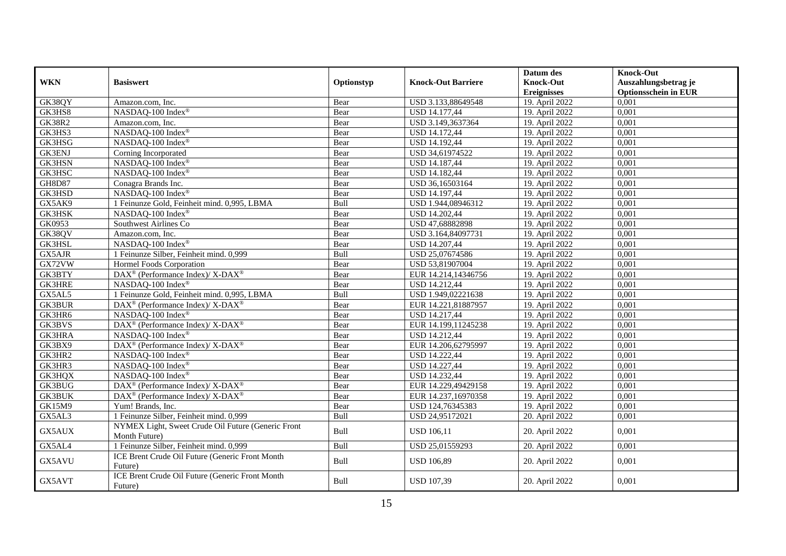|               |                                                                    |            |                           | Datum des          | <b>Knock-Out</b>            |
|---------------|--------------------------------------------------------------------|------------|---------------------------|--------------------|-----------------------------|
| <b>WKN</b>    | <b>Basiswert</b>                                                   | Optionstyp | <b>Knock-Out Barriere</b> | <b>Knock-Out</b>   | Auszahlungsbetrag je        |
|               |                                                                    |            |                           | <b>Ereignisses</b> | <b>Optionsschein in EUR</b> |
| GK38QY        | Amazon.com, Inc.                                                   | Bear       | USD 3.133,88649548        | 19. April 2022     | 0,001                       |
| GK3HS8        | NASDAQ-100 Index®                                                  | Bear       | <b>USD 14.177,44</b>      | 19. April 2022     | 0,001                       |
| <b>GK38R2</b> | Amazon.com, Inc.                                                   | Bear       | USD 3.149,3637364         | 19. April 2022     | 0,001                       |
| GK3HS3        | NASDAQ-100 Index®                                                  | Bear       | <b>USD 14.172,44</b>      | 19. April 2022     | 0,001                       |
| GK3HSG        | NASDAQ-100 Index®                                                  | Bear       | USD 14.192,44             | 19. April 2022     | 0,001                       |
| <b>GK3ENJ</b> | Corning Incorporated                                               | Bear       | USD 34,61974522           | 19. April 2022     | 0,001                       |
| <b>GK3HSN</b> | NASDAQ-100 Index®                                                  | Bear       | <b>USD 14.187,44</b>      | 19. April 2022     | 0,001                       |
| GK3HSC        | NASDAQ-100 Index®                                                  | Bear       | <b>USD 14.182,44</b>      | 19. April 2022     | 0,001                       |
| <b>GH8D87</b> | Conagra Brands Inc.                                                | Bear       | USD 36,16503164           | 19. April 2022     | 0,001                       |
| GK3HSD        | NASDAQ-100 Index®                                                  | Bear       | <b>USD 14.197,44</b>      | 19. April 2022     | 0,001                       |
| GX5AK9        | 1 Feinunze Gold, Feinheit mind. 0,995, LBMA                        | Bull       | USD 1.944,08946312        | 19. April 2022     | 0,001                       |
| <b>GK3HSK</b> | NASDAQ-100 Index®                                                  | Bear       | <b>USD 14.202,44</b>      | 19. April 2022     | 0,001                       |
| GK0953        | Southwest Airlines Co                                              | Bear       | USD 47,68882898           | 19. April 2022     | 0.001                       |
| GK38QV        | Amazon.com, Inc.                                                   | Bear       | USD 3.164,84097731        | 19. April 2022     | 0,001                       |
| GK3HSL        | NASDAQ-100 Index®                                                  | Bear       | <b>USD 14.207,44</b>      | 19. April 2022     | 0,001                       |
| GX5AJR        | 1 Feinunze Silber, Feinheit mind. 0,999                            | Bull       | USD 25,07674586           | 19. April 2022     | 0,001                       |
| GX72VW        | Hormel Foods Corporation                                           | Bear       | USD 53,81907004           | 19. April 2022     | 0,001                       |
| GK3BTY        | DAX <sup>®</sup> (Performance Index)/ X-DAX <sup>®</sup>           | Bear       | EUR 14.214,14346756       | 19. April 2022     | 0,001                       |
| <b>GK3HRE</b> | NASDAQ-100 Index®                                                  | Bear       | <b>USD 14.212,44</b>      | 19. April 2022     | 0,001                       |
| GX5AL5        | 1 Feinunze Gold, Feinheit mind. 0,995, LBMA                        | Bull       | USD 1.949,02221638        | 19. April 2022     | 0,001                       |
| <b>GK3BUR</b> | $\text{DAX}^{\circledast}$ (Performance Index)/ X-DAX <sup>®</sup> | Bear       | EUR 14.221,81887957       | 19. April 2022     | 0,001                       |
| GK3HR6        | NASDAQ-100 Index®                                                  | Bear       | <b>USD 14.217,44</b>      | 19. April 2022     | 0,001                       |
| <b>GK3BVS</b> | DAX <sup>®</sup> (Performance Index)/ X-DAX <sup>®</sup>           | Bear       | EUR 14.199,11245238       | 19. April 2022     | 0,001                       |
| <b>GK3HRA</b> | NASDAO-100 Index®                                                  | Bear       | <b>USD 14.212,44</b>      | 19. April 2022     | 0,001                       |
| GK3BX9        | DAX <sup>®</sup> (Performance Index)/ X-DAX <sup>®</sup>           | Bear       | EUR 14.206,62795997       | 19. April 2022     | 0,001                       |
| GK3HR2        | $NASDAQ-100$ Index <sup>®</sup>                                    | Bear       | <b>USD 14.222,44</b>      | 19. April 2022     | 0,001                       |
| GK3HR3        | NASDAQ-100 Index®                                                  | Bear       | <b>USD 14.227,44</b>      | 19. April 2022     | 0,001                       |
| GK3HQX        | NASDAQ-100 Index®                                                  | Bear       | <b>USD 14.232,44</b>      | 19. April 2022     | 0,001                       |
| <b>GK3BUG</b> | DAX <sup>®</sup> (Performance Index)/X-DAX <sup>®</sup>            | Bear       | EUR 14.229,49429158       | 19. April 2022     | 0,001                       |
| <b>GK3BUK</b> | DAX <sup>®</sup> (Performance Index)/X-DAX <sup>®</sup>            | Bear       | EUR 14.237,16970358       | 19. April 2022     | 0,001                       |
| GK15M9        | Yum! Brands, Inc.                                                  | Bear       | USD 124,76345383          | 19. April 2022     | 0,001                       |
| GX5AL3        | 1 Feinunze Silber, Feinheit mind. 0,999                            | Bull       | USD 24,95172021           | 20. April 2022     | 0,001                       |
| GX5AUX        | NYMEX Light, Sweet Crude Oil Future (Generic Front                 | Bull       | <b>USD 106,11</b>         |                    | 0,001                       |
|               | Month Future)                                                      |            |                           | 20. April 2022     |                             |
| GX5AL4        | 1 Feinunze Silber, Feinheit mind. 0,999                            | Bull       | USD 25,01559293           | 20. April 2022     | 0,001                       |
| GX5AVU        | ICE Brent Crude Oil Future (Generic Front Month                    | Bull       | <b>USD 106,89</b>         | 20. April 2022     | 0,001                       |
|               | Future)                                                            |            |                           |                    |                             |
| GX5AVT        | ICE Brent Crude Oil Future (Generic Front Month                    | Bull       | <b>USD 107,39</b>         | 20. April 2022     | 0,001                       |
|               | Future)                                                            |            |                           |                    |                             |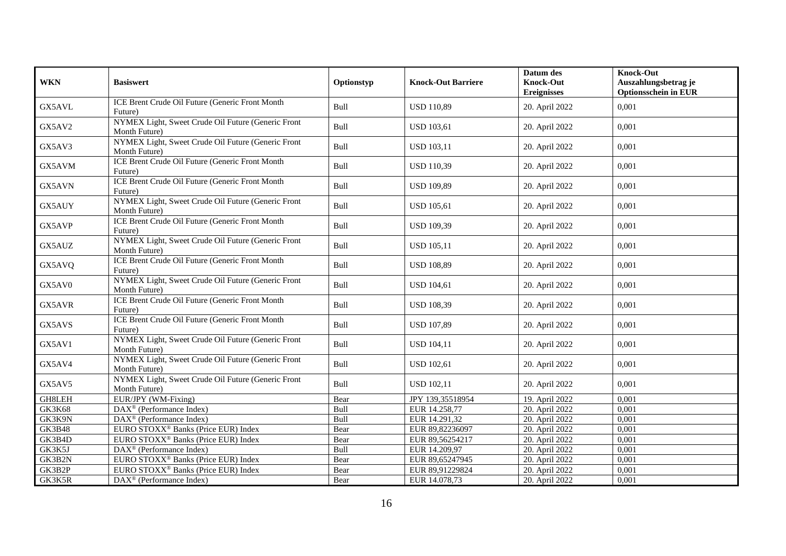| <b>WKN</b>    | <b>Basiswert</b>                                                    | Optionstyp | <b>Knock-Out Barriere</b> | Datum des<br><b>Knock-Out</b><br><b>Ereignisses</b> | <b>Knock-Out</b><br>Auszahlungsbetrag je<br><b>Optionsschein in EUR</b> |
|---------------|---------------------------------------------------------------------|------------|---------------------------|-----------------------------------------------------|-------------------------------------------------------------------------|
| GX5AVL        | ICE Brent Crude Oil Future (Generic Front Month<br>Future)          | Bull       | <b>USD 110,89</b>         | 20. April 2022                                      | 0,001                                                                   |
| GX5AV2        | NYMEX Light, Sweet Crude Oil Future (Generic Front<br>Month Future) | Bull       | <b>USD 103,61</b>         | 20. April 2022                                      | 0,001                                                                   |
| GX5AV3        | NYMEX Light, Sweet Crude Oil Future (Generic Front<br>Month Future) | Bull       | <b>USD 103,11</b>         | 20. April 2022                                      | 0,001                                                                   |
| GX5AVM        | ICE Brent Crude Oil Future (Generic Front Month<br>Future)          | Bull       | <b>USD 110,39</b>         | 20. April 2022                                      | 0,001                                                                   |
| GX5AVN        | ICE Brent Crude Oil Future (Generic Front Month<br>Future)          | Bull       | <b>USD 109,89</b>         | 20. April 2022                                      | 0,001                                                                   |
| GX5AUY        | NYMEX Light, Sweet Crude Oil Future (Generic Front<br>Month Future) | Bull       | <b>USD 105,61</b>         | 20. April 2022                                      | 0,001                                                                   |
| GX5AVP        | ICE Brent Crude Oil Future (Generic Front Month<br>Future)          | Bull       | <b>USD 109,39</b>         | 20. April 2022                                      | 0,001                                                                   |
| GX5AUZ        | NYMEX Light, Sweet Crude Oil Future (Generic Front<br>Month Future) | Bull       | <b>USD 105,11</b>         | 20. April 2022                                      | 0,001                                                                   |
| GX5AVQ        | ICE Brent Crude Oil Future (Generic Front Month<br>Future)          | Bull       | <b>USD 108,89</b>         | 20. April 2022                                      | 0,001                                                                   |
| GX5AV0        | NYMEX Light, Sweet Crude Oil Future (Generic Front<br>Month Future) | Bull       | <b>USD 104,61</b>         | 20. April 2022                                      | 0,001                                                                   |
| GX5AVR        | ICE Brent Crude Oil Future (Generic Front Month<br>Future)          | Bull       | <b>USD 108,39</b>         | 20. April 2022                                      | 0,001                                                                   |
| GX5AVS        | ICE Brent Crude Oil Future (Generic Front Month<br>Future)          | Bull       | <b>USD 107,89</b>         | 20. April 2022                                      | 0,001                                                                   |
| GX5AV1        | NYMEX Light, Sweet Crude Oil Future (Generic Front<br>Month Future) | Bull       | <b>USD 104,11</b>         | 20. April 2022                                      | 0,001                                                                   |
| GX5AV4        | NYMEX Light, Sweet Crude Oil Future (Generic Front<br>Month Future) | Bull       | <b>USD 102,61</b>         | 20. April 2022                                      | 0,001                                                                   |
| GX5AV5        | NYMEX Light, Sweet Crude Oil Future (Generic Front<br>Month Future) | Bull       | <b>USD 102,11</b>         | 20. April 2022                                      | 0,001                                                                   |
| GH8LEH        | EUR/JPY (WM-Fixing)                                                 | Bear       | JPY 139,35518954          | 19. April 2022                                      | 0,001                                                                   |
| <b>GK3K68</b> | DAX <sup>®</sup> (Performance Index)                                | Bull       | EUR 14.258,77             | 20. April 2022                                      | 0,001                                                                   |
| GK3K9N        | DAX <sup>®</sup> (Performance Index)                                | Bull       | EUR 14.291,32             | 20. April 2022                                      | 0,001                                                                   |
| <b>GK3B48</b> | EURO STOXX <sup>®</sup> Banks (Price EUR) Index                     | Bear       | EUR 89,82236097           | 20. April 2022                                      | 0,001                                                                   |
| GK3B4D        | EURO STOXX <sup>®</sup> Banks (Price EUR) Index                     | Bear       | EUR 89,56254217           | 20. April 2022                                      | 0,001                                                                   |
| GK3K5J        | DAX <sup>®</sup> (Performance Index)                                | Bull       | EUR 14.209,97             | 20. April 2022                                      | 0,001                                                                   |
| GK3B2N        | EURO STOXX <sup>®</sup> Banks (Price EUR) Index                     | Bear       | EUR 89,65247945           | 20. April 2022                                      | 0,001                                                                   |
| GK3B2P        | EURO STOXX <sup>®</sup> Banks (Price EUR) Index                     | Bear       | EUR 89,91229824           | 20. April 2022                                      | 0,001                                                                   |
| GK3K5R        | DAX <sup>®</sup> (Performance Index)                                | Bear       | EUR 14.078,73             | 20. April 2022                                      | 0,001                                                                   |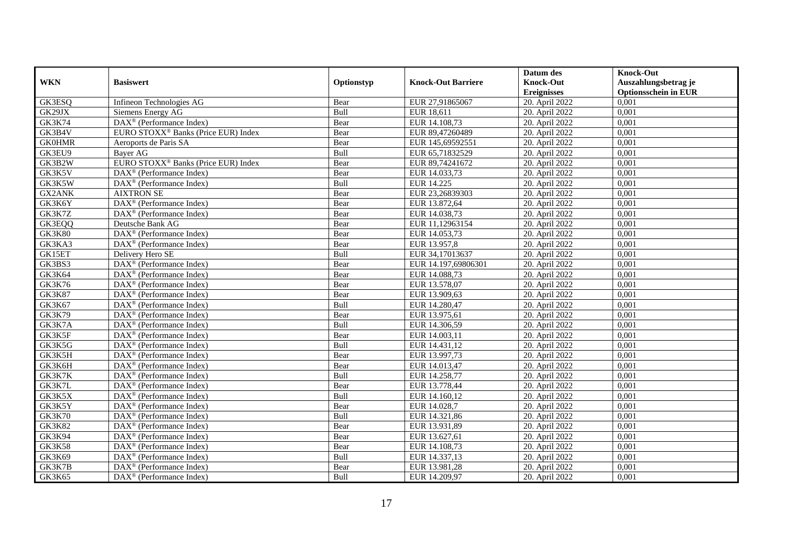|               |                                                         |            |                           | Datum des                    | <b>Knock-Out</b>            |
|---------------|---------------------------------------------------------|------------|---------------------------|------------------------------|-----------------------------|
| <b>WKN</b>    | <b>Basiswert</b>                                        | Optionstyp | <b>Knock-Out Barriere</b> | <b>Knock-Out</b>             | Auszahlungsbetrag je        |
|               |                                                         |            |                           | <b>Ereignisses</b>           | <b>Optionsschein in EUR</b> |
| GK3ESQ        | Infineon Technologies AG                                | Bear       | EUR 27,91865067           | 20. April 2022               | 0,001                       |
| GK29JX        | Siemens Energy AG                                       | Bull       | EUR 18,611                | 20. April 2022               | 0,001                       |
| <b>GK3K74</b> | $\text{DAX}^{\textcircled{}}$ (Performance Index)       | Bear       | EUR 14.108,73             | 20. April 2022               | 0,001                       |
| GK3B4V        | EURO STOXX <sup>®</sup> Banks (Price EUR) Index         | Bear       | EUR 89,47260489           | 20. April 2022               | 0,001                       |
| <b>GK0HMR</b> | Aeroports de Paris SA                                   | Bear       | EUR 145,69592551          | 20. April 2022               | 0,001                       |
| GK3EU9        | <b>Bayer AG</b>                                         | Bull       | EUR 65,71832529           | 20. April 2022               | 0,001                       |
| GK3B2W        | EURO STOXX <sup>®</sup> Banks (Price EUR) Index         | Bear       | EUR 89,74241672           | 20. April 2022               | 0,001                       |
| GK3K5V        | $\text{DAX}^{\circledast}$ (Performance Index)          | Bear       | EUR 14.033,73             | 20. April 2022               | 0,001                       |
| GK3K5W        | $DAX^{\circledast}$ (Performance Index)                 | Bull       | EUR 14.225                | 20. April 2022               | 0,001                       |
| GX2ANK        | <b>AIXTRON SE</b>                                       | Bear       | EUR 23,26839303           | 20. April 2022               | 0,001                       |
| GK3K6Y        | DAX <sup>®</sup> (Performance Index)                    | Bear       | EUR 13.872,64             | 20. April 2022               | 0,001                       |
| GK3K7Z        | $\overline{\text{DAX}^{\otimes}}$ (Performance Index)   | Bear       | EUR 14.038,73             | 20. April 2022               | 0,001                       |
| GK3EQQ        | Deutsche Bank AG                                        | Bear       | EUR 11,12963154           | 20. April 2022               | 0,001                       |
| <b>GK3K80</b> | $DAX^{\circledR}$ (Performance Index)                   | Bear       | EUR 14.053,73             | 20. April 2022               | 0.001                       |
| GK3KA3        | $\overline{\text{DAX}^{\otimes}}$ (Performance Index)   | Bear       | EUR 13.957,8              | 20. April 2022               | 0,001                       |
| GK15ET        | Delivery Hero SE                                        | Bull       | EUR 34,17013637           | 20. April 2022               | 0,001                       |
| GK3BS3        | DAX <sup>®</sup> (Performance Index)                    | Bear       | EUR 14.197,69806301       | 20. April 2022               | 0,001                       |
| GK3K64        | DAX <sup>®</sup> (Performance Index)                    | Bear       | EUR 14.088,73             | 20. April 2022               | 0,001                       |
| <b>GK3K76</b> | $\text{DAX}^{\textcircled{}}$ (Performance Index)       | Bear       | EUR 13.578,07             | 20. April 2022               | 0,001                       |
| <b>GK3K87</b> | $DAX^{\circledast}$ (Performance Index)                 | Bear       | EUR 13.909,63             | 20. April 2022               | 0,001                       |
| GK3K67        | $DAX^{\circledast}$ (Performance Index)                 | Bull       | EUR 14.280,47             | 20. April 2022               | 0,001                       |
| <b>GK3K79</b> | $DAX^{\circledR}$ (Performance Index)                   | Bear       | EUR 13.975,61             | 20. April 2022               | 0,001                       |
| GK3K7A        | $\text{DAX}^{\textcircled{}}$ (Performance Index)       | Bull       | EUR 14.306.59             | 20. April 2022               | 0,001                       |
| GK3K5F        | $DAX^{\circledR}$ (Performance Index)                   | Bear       | EUR 14.003,11             | 20. April 2022               | 0,001                       |
| GK3K5G        | $DAX^{\circledR}$ (Performance Index)                   | Bull       | EUR 14.431,12             | 20. April 2022               | 0,001                       |
| GK3K5H        | $DAX^{\circledast}$ (Performance Index)                 | Bear       | EUR 13.997,73             | 20. April 2022               | 0,001                       |
| GK3K6H        | DAX <sup>®</sup> (Performance Index)                    | Bear       | EUR 14.013,47             | 20. April 2022               | 0,001                       |
| GK3K7K        | $\text{DAX}^{\textcircled{}}$ (Performance Index)       | Bull       | EUR 14.258,77             | 20. April 2022               | 0,001                       |
| GK3K7L        | $\text{DAX}^{\circledast}$ (Performance Index)          | Bear       | EUR 13.778,44             | $\overline{20}$ . April 2022 | 0,001                       |
| GK3K5X        | $\text{DAX}^{\textcircled{}}$ (Performance Index)       | Bull       | EUR 14.160,12             | 20. April 2022               | 0,001                       |
| GK3K5Y        | $DAX^{\circledR}$ (Performance Index)                   | Bear       | EUR 14.028,7              | 20. April 2022               | 0,001                       |
| <b>GK3K70</b> | $\text{DAX}^{\otimes}$ (Performance Index)              | Bull       | EUR 14.321,86             | 20. April 2022               | 0,001                       |
| <b>GK3K82</b> | $\overline{\text{DAX}^{\otimes}}$ (Performance Index)   | Bear       | EUR 13.931,89             | 20. April 2022               | 0,001                       |
| GK3K94        | $\overline{\text{DAX}}^{\textcirc}$ (Performance Index) | Bear       | EUR 13.627,61             | 20. April 2022               | 0,001                       |
| <b>GK3K58</b> | $\text{DAX}^{\circledast}$ (Performance Index)          | Bear       | EUR 14.108,73             | 20. April 2022               | 0,001                       |
| GK3K69        | $\text{DAX}^{\textcircled{}}$ (Performance Index)       | Bull       | EUR 14.337,13             | 20. April 2022               | 0,001                       |
| GK3K7B        | $DAX^{\circledast}$ (Performance Index)                 | Bear       | EUR 13.981,28             | 20. April 2022               | 0,001                       |
| <b>GK3K65</b> | $\text{DAX}^{\circledast}$ (Performance Index)          | Bull       | EUR 14.209,97             | 20. April 2022               | 0,001                       |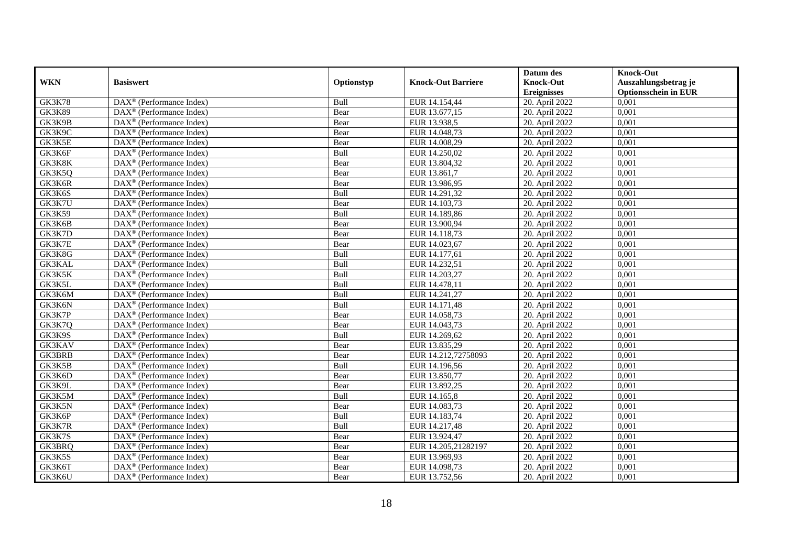|               |                                                              |            |                           | Datum des          | <b>Knock-Out</b>            |
|---------------|--------------------------------------------------------------|------------|---------------------------|--------------------|-----------------------------|
| <b>WKN</b>    | <b>Basiswert</b>                                             | Optionstyp | <b>Knock-Out Barriere</b> | <b>Knock-Out</b>   | Auszahlungsbetrag je        |
|               |                                                              |            |                           | <b>Ereignisses</b> | <b>Optionsschein in EUR</b> |
| <b>GK3K78</b> | $\overline{\text{DAX}}^{\textcircled{}}$ (Performance Index) | Bull       | EUR 14.154,44             | 20. April 2022     | 0,001                       |
| <b>GK3K89</b> | $DAX^{\circledR}$ (Performance Index)                        | Bear       | EUR 13.677,15             | 20. April 2022     | 0,001                       |
| GK3K9B        | DAX <sup>®</sup> (Performance Index)                         | Bear       | EUR 13.938,5              | 20. April 2022     | 0,001                       |
| GK3K9C        | $\text{DAX}^{\otimes}$ (Performance Index)                   | Bear       | EUR 14.048,73             | 20. April 2022     | 0,001                       |
| GK3K5E        | DAX <sup>®</sup> (Performance Index)                         | Bear       | EUR 14.008,29             | 20. April 2022     | 0,001                       |
| GK3K6F        | $\text{DAX}^{\textcircled{n}}$ (Performance Index)           | Bull       | EUR 14.250,02             | 20. April 2022     | 0,001                       |
| GK3K8K        | $\text{DAX}^{\textcircled{n}}$ (Performance Index)           | Bear       | EUR 13.804,32             | 20. April 2022     | 0,001                       |
| GK3K5Q        | $DAX^{\otimes}$ (Performance Index)                          | Bear       | EUR 13.861,7              | 20. April 2022     | 0,001                       |
| GK3K6R        | $\text{DAX}^{\textcircled{p}}$ (Performance Index)           | Bear       | EUR 13.986,95             | 20. April 2022     | 0,001                       |
| GK3K6S        | $DAX^{\otimes}$ (Performance Index)                          | Bull       | EUR 14.291,32             | 20. April 2022     | 0,001                       |
| GK3K7U        | DAX <sup>®</sup> (Performance Index)                         | Bear       | EUR 14.103,73             | 20. April 2022     | 0,001                       |
| <b>GK3K59</b> | $\overline{\text{DAX}^{\otimes}}$ (Performance Index)        | Bull       | EUR 14.189,86             | 20. April 2022     | 0,001                       |
| GK3K6B        | $\text{DAX}^{\textcircled{n}}$ (Performance Index)           | Bear       | EUR 13.900,94             | 20. April 2022     | 0,001                       |
| GK3K7D        | DAX <sup>®</sup> (Performance Index)                         | Bear       | EUR 14.118,73             | 20. April 2022     | 0,001                       |
| GK3K7E        | DAX <sup>®</sup> (Performance Index)                         | Bear       | EUR 14.023,67             | 20. April 2022     | 0,001                       |
| GK3K8G        | DAX <sup>®</sup> (Performance Index)                         | Bull       | EUR 14.177,61             | 20. April 2022     | 0,001                       |
| GK3KAL        | DAX <sup>®</sup> (Performance Index)                         | Bull       | EUR 14.232,51             | 20. April 2022     | 0,001                       |
| GK3K5K        | $\overline{\text{DAX}}^{\textcirc}$ (Performance Index)      | Bull       | EUR 14.203,27             | 20. April 2022     | 0,001                       |
| GK3K5L        | DAX <sup>®</sup> (Performance Index)                         | Bull       | EUR 14.478,11             | 20. April 2022     | 0,001                       |
| GK3K6M        | DAX <sup>®</sup> (Performance Index)                         | Bull       | EUR 14.241,27             | 20. April 2022     | 0,001                       |
| GK3K6N        | DAX <sup>®</sup> (Performance Index)                         | Bull       | EUR 14.171,48             | 20. April 2022     | 0,001                       |
| GK3K7P        | $\overline{\text{DAX}^{\otimes}}$ (Performance Index)        | Bear       | EUR 14.058,73             | 20. April 2022     | 0,001                       |
| GK3K7Q        | $\text{DAX}^{\circledast}$ (Performance Index)               | Bear       | EUR 14.043,73             | 20. April 2022     | 0,001                       |
| GK3K9S        | DAX <sup>®</sup> (Performance Index)                         | Bull       | EUR 14.269,62             | 20. April 2022     | 0,001                       |
| GK3KAV        | $\text{DAX}^{\textcircled{n}}$ (Performance Index)           | Bear       | EUR 13.835,29             | 20. April 2022     | 0,001                       |
| GK3BRB        | $\text{DAX}^{\otimes}$ (Performance Index)                   | Bear       | EUR 14.212,72758093       | 20. April 2022     | 0,001                       |
| GK3K5B        | $\text{DAX}^{\circledast}$ (Performance Index)               | Bull       | EUR 14.196,56             | 20. April 2022     | 0,001                       |
| GK3K6D        | $\text{DAX}^{\textcircled{D}}$ (Performance Index)           | Bear       | EUR 13.850,77             | 20. April 2022     | 0,001                       |
| GK3K9L        | $\text{DAX}^{\textcircled{D}}$ (Performance Index)           | Bear       | EUR 13.892,25             | 20. April 2022     | 0,001                       |
| GK3K5M        | $\text{DAX}^{\circledR}$ (Performance Index)                 | Bull       | EUR 14.165,8              | 20. April 2022     | 0,001                       |
| GK3K5N        | DAX <sup>®</sup> (Performance Index)                         | Bear       | EUR 14.083,73             | 20. April 2022     | 0,001                       |
| GK3K6P        | $\text{DAX}^{\otimes}$ (Performance Index)                   | Bull       | EUR 14.183,74             | 20. April 2022     | 0,001                       |
| GK3K7R        | $\overline{\text{DAX}^{\otimes}}$ (Performance Index)        | Bull       | EUR 14.217,48             | 20. April 2022     | 0,001                       |
| GK3K7S        | DAX <sup>®</sup> (Performance Index)                         | Bear       | EUR 13.924,47             | 20. April 2022     | 0,001                       |
| GK3BRQ        | $\text{DAX}^{\textcircled{n}}$ (Performance Index)           | Bear       | EUR 14.205,21282197       | 20. April 2022     | 0,001                       |
| GK3K5S        | $\text{DAX}^{\textcircled{n}}$ (Performance Index)           | Bear       | EUR 13.969,93             | 20. April 2022     | 0,001                       |
| GK3K6T        | $\text{DAX}^{\otimes}$ (Performance Index)                   | Bear       | EUR 14.098,73             | 20. April 2022     | 0,001                       |
| GK3K6U        | DAX <sup>®</sup> (Performance Index)                         | Bear       | EUR 13.752,56             | 20. April 2022     | 0,001                       |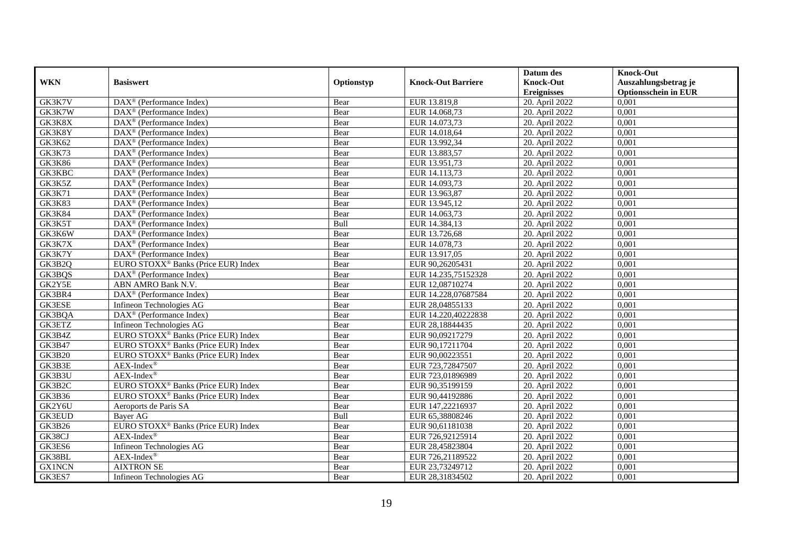|               |                                                              |            |                           | Datum des          | <b>Knock-Out</b>            |
|---------------|--------------------------------------------------------------|------------|---------------------------|--------------------|-----------------------------|
| <b>WKN</b>    | <b>Basiswert</b>                                             | Optionstyp | <b>Knock-Out Barriere</b> | <b>Knock-Out</b>   | Auszahlungsbetrag je        |
|               |                                                              |            |                           | <b>Ereignisses</b> | <b>Optionsschein in EUR</b> |
| GK3K7V        | DAX <sup>®</sup> (Performance Index)                         | Bear       | EUR 13.819,8              | 20. April 2022     | 0,001                       |
| GK3K7W        | $DAX^{\circledR}$ (Performance Index)                        | Bear       | EUR 14.068,73             | 20. April 2022     | 0,001                       |
| GK3K8X        | $DAX^{\circledR}$ (Performance Index)                        | Bear       | EUR 14.073,73             | 20. April 2022     | 0,001                       |
| GK3K8Y        | $\text{DAX}^{\otimes}$ (Performance Index)                   | Bear       | EUR 14.018,64             | 20. April 2022     | 0,001                       |
| GK3K62        | $\overline{\text{DAX}}^{\textcircled{}}$ (Performance Index) | Bear       | EUR 13.992,34             | 20. April 2022     | 0,001                       |
| <b>GK3K73</b> | $\text{DAX}^{\textcircled{D}}$ (Performance Index)           | Bear       | EUR 13.883,57             | 20. April 2022     | 0,001                       |
| <b>GK3K86</b> | $DAX^{\otimes}$ (Performance Index)                          | Bear       | EUR 13.951,73             | 20. April 2022     | 0,001                       |
| GK3KBC        | $\text{DAX}^{\textcircled{n}}$ (Performance Index)           | Bear       | EUR 14.113,73             | 20. April 2022     | 0,001                       |
| GK3K5Z        | $\text{DAX}^{\textcircled{n}}$ (Performance Index)           | Bear       | EUR 14.093,73             | 20. April 2022     | 0,001                       |
| <b>GK3K71</b> | DAX <sup>®</sup> (Performance Index)                         | Bear       | EUR 13.963,87             | 20. April 2022     | 0,001                       |
| <b>GK3K83</b> | $\overline{\text{DAX}^{\otimes}}$ (Performance Index)        | Bear       | EUR 13.945,12             | 20. April 2022     | 0,001                       |
| <b>GK3K84</b> | DAX <sup>®</sup> (Performance Index)                         | Bear       | EUR 14.063,73             | 20. April 2022     | 0,001                       |
| GK3K5T        | $\text{DAX}^{\textcircled{n}}$ (Performance Index)           | Bull       | EUR 14.384,13             | 20. April 2022     | 0,001                       |
| GK3K6W        | DAX <sup>®</sup> (Performance Index)                         | Bear       | EUR 13.726,68             | 20. April 2022     | 0.001                       |
| GK3K7X        | $DAX^{\otimes}$ (Performance Index)                          | Bear       | EUR 14.078,73             | 20. April 2022     | 0,001                       |
| GK3K7Y        | $\overline{\text{DAX}}^{\textcirc}$ (Performance Index)      | Bear       | EUR 13.917,05             | 20. April 2022     | 0,001                       |
| GK3B2Q        | EURO STOXX <sup>®</sup> Banks (Price EUR) Index              | Bear       | EUR 90,26205431           | 20. April 2022     | 0,001                       |
| GK3BQS        | $\text{DAX}^{\textcircled{n}}$ (Performance Index)           | Bear       | EUR 14.235,75152328       | 20. April 2022     | 0,001                       |
| GK2Y5E        | ABN AMRO Bank N.V.                                           | Bear       | EUR 12,08710274           | 20. April 2022     | 0,001                       |
| GK3BR4        | DAX <sup>®</sup> (Performance Index)                         | Bear       | EUR 14.228,07687584       | 20. April 2022     | 0,001                       |
| GK3ESE        | Infineon Technologies AG                                     | Bear       | EUR 28,04855133           | 20. April 2022     | 0,001                       |
| GK3BQA        | $\text{DAX}^{\textcircled{p}}$ (Performance Index)           | Bear       | EUR 14.220.40222838       | 20. April 2022     | 0,001                       |
| GK3ETZ        | Infineon Technologies AG                                     | Bear       | EUR 28,18844435           | 20. April 2022     | 0,001                       |
| GK3B4Z        | EURO STOXX <sup>®</sup> Banks (Price EUR) Index              | Bear       | EUR 90,09217279           | 20. April 2022     | 0,001                       |
| <b>GK3B47</b> | EURO STOXX <sup>®</sup> Banks (Price EUR) Index              | Bear       | EUR 90,17211704           | 20. April 2022     | 0,001                       |
| <b>GK3B20</b> | EURO STOXX <sup>®</sup> Banks (Price EUR) Index              | Bear       | EUR 90,00223551           | 20. April 2022     | 0,001                       |
| GK3B3E        | $AEX-Index^{\circledR}$                                      | Bear       | EUR 723,72847507          | 20. April 2022     | 0,001                       |
| GK3B3U        | $AEX-Index^{\circledR}$                                      | Bear       | EUR 723,01896989          | 20. April 2022     | 0,001                       |
| GK3B2C        | EURO STOXX <sup>®</sup> Banks (Price EUR) Index              | Bear       | EUR 90,35199159           | 20. April 2022     | 0,001                       |
| <b>GK3B36</b> | EURO STOXX <sup>®</sup> Banks (Price EUR) Index              | Bear       | EUR 90,44192886           | 20. April 2022     | 0,001                       |
| GK2Y6U        | Aeroports de Paris SA                                        | Bear       | EUR 147,22216937          | 20. April 2022     | 0,001                       |
| <b>GK3EUD</b> | Baver AG                                                     | Bull       | EUR 65,38808246           | 20. April 2022     | 0,001                       |
| <b>GK3B26</b> | EURO STOXX <sup>®</sup> Banks (Price EUR) Index              | Bear       | EUR 90,61181038           | 20. April 2022     | 0,001                       |
| GK38CJ        | $AEX-Index^{\circledR}$                                      | Bear       | EUR 726,92125914          | 20. April 2022     | 0,001                       |
| GK3ES6        | Infineon Technologies AG                                     | Bear       | EUR 28,45823804           | 20. April 2022     | 0,001                       |
| GK38BL        | $AEX-Index^{\circledR}$                                      | Bear       | EUR 726,21189522          | 20. April 2022     | 0,001                       |
| <b>GX1NCN</b> | <b>AIXTRON SE</b>                                            | Bear       | EUR 23,73249712           | 20. April 2022     | 0,001                       |
| GK3ES7        | Infineon Technologies AG                                     | Bear       | EUR 28,31834502           | 20. April 2022     | 0,001                       |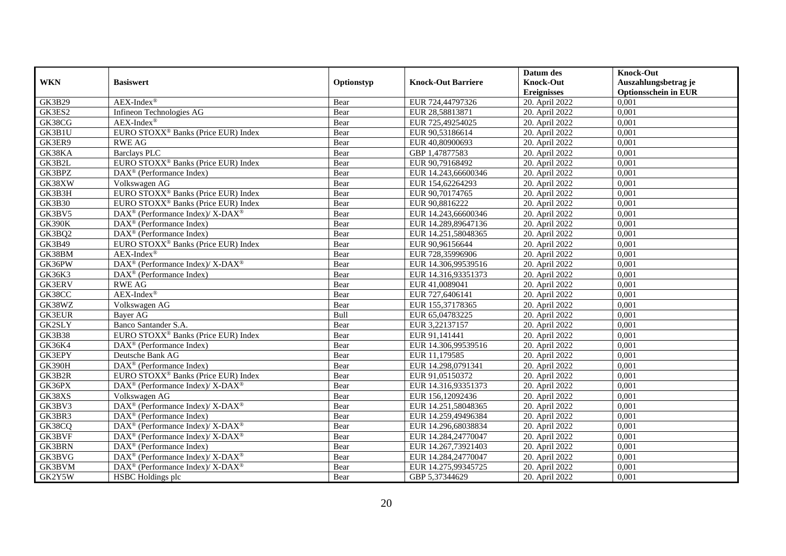|               |                                                                    |             |                           | Datum des                    | <b>Knock-Out</b>            |
|---------------|--------------------------------------------------------------------|-------------|---------------------------|------------------------------|-----------------------------|
| <b>WKN</b>    | <b>Basiswert</b>                                                   | Optionstyp  | <b>Knock-Out Barriere</b> | <b>Knock-Out</b>             | Auszahlungsbetrag je        |
|               |                                                                    |             |                           | <b>Ereignisses</b>           | <b>Optionsschein in EUR</b> |
| <b>GK3B29</b> | $AEX-Index^{\circledR}$                                            | Bear        | EUR 724,44797326          | 20. April 2022               | 0,001                       |
| GK3ES2        | Infineon Technologies AG                                           | Bear        | EUR 28,58813871           | 20. April 2022               | 0,001                       |
| GK38CG        | $AEX-Index^{\circledR}$                                            | Bear        | EUR 725,49254025          | 20. April 2022               | 0,001                       |
| GK3B1U        | EURO STOXX <sup>®</sup> Banks (Price EUR) Index                    | Bear        | EUR 90,53186614           | 20. April 2022               | 0,001                       |
| GK3ER9        | <b>RWE AG</b>                                                      | Bear        | EUR 40,80900693           | 20. April 2022               | 0,001                       |
| GK38KA        | <b>Barclays PLC</b>                                                | Bear        | GBP 1,47877583            | 20. April 2022               | 0,001                       |
| GK3B2L        | EURO STOXX <sup>®</sup> Banks (Price EUR) Index                    | Bear        | EUR 90,79168492           | 20. April 2022               | 0,001                       |
| GK3BPZ        | $\text{DAX}^{\textcircled{n}}$ (Performance Index)                 | Bear        | EUR 14.243,66600346       | 20. April 2022               | 0,001                       |
| GK38XW        | Volkswagen AG                                                      | Bear        | EUR 154,62264293          | 20. April 2022               | 0,001                       |
| GK3B3H        | EURO STOXX <sup>®</sup> Banks (Price EUR) Index                    | Bear        | EUR 90,70174765           | 20. April 2022               | 0,001                       |
| <b>GK3B30</b> | EURO STOXX <sup>®</sup> Banks (Price EUR) Index                    | Bear        | EUR 90,8816222            | 20. April 2022               | 0,001                       |
| GK3BV5        | DAX <sup>®</sup> (Performance Index)/ X-DAX <sup>®</sup>           | Bear        | EUR 14.243,66600346       | 20. April 2022               | 0,001                       |
| <b>GK390K</b> | $\text{DAX}^{\textcircled{n}}$ (Performance Index)                 | Bear        | EUR 14.289,89647136       | 20. April 2022               | 0,001                       |
| GK3BQ2        | $DAX^{\circledR}$ (Performance Index)                              | Bear        | EUR 14.251,58048365       | 20. April 2022               | 0.001                       |
| GK3B49        | EURO STOXX <sup>®</sup> Banks (Price EUR) Index                    | Bear        | EUR 90,96156644           | 20. April 2022               | 0,001                       |
| GK38BM        | $AEX-Index^{\circledR}$                                            | Bear        | EUR 728,35996906          | 20. April 2022               | 0,001                       |
| GK36PW        | DAX <sup>®</sup> (Performance Index)/ X-DAX <sup>®</sup>           | Bear        | EUR 14.306,99539516       | 20. April 2022               | 0,001                       |
| <b>GK36K3</b> | $\text{DAX}^{\textcircled{n}}$ (Performance Index)                 | Bear        | EUR 14.316,93351373       | 20. April 2022               | 0,001                       |
| <b>GK3ERV</b> | <b>RWE AG</b>                                                      | Bear        | EUR 41,0089041            | 20. April 2022               | 0,001                       |
| GK38CC        | $AEX-Index^{\circledR}$                                            | Bear        | EUR 727,6406141           | 20. April 2022               | 0,001                       |
| GK38WZ        | Volkswagen AG                                                      | Bear        | EUR 155,37178365          | 20. April 2022               | 0,001                       |
| <b>GK3EUR</b> | <b>Baver AG</b>                                                    | <b>Bull</b> | EUR 65,04783225           | 20. April 2022               | 0,001                       |
| GK2SLY        | Banco Santander S.A.                                               | Bear        | EUR 3,22137157            | 20. April 2022               | 0,001                       |
| <b>GK3B38</b> | EURO STOXX <sup>®</sup> Banks (Price EUR) Index                    | Bear        | EUR 91,141441             | 20. April 2022               | 0,001                       |
| GK36K4        | $DAX^{\circledR}$ (Performance Index)                              | Bear        | EUR 14.306,99539516       | 20. April 2022               | 0,001                       |
| GK3EPY        | Deutsche Bank AG                                                   | Bear        | EUR 11,179585             | 20. April 2022               | 0,001                       |
| <b>GK390H</b> | $\text{DAX}^{\circledast}$ (Performance Index)                     | Bear        | EUR 14.298,0791341        | 20. April 2022               | 0,001                       |
| GK3B2R        | EURO STOXX <sup>®</sup> Banks (Price EUR) Index                    | Bear        | EUR 91,05150372           | 20. April 2022               | 0,001                       |
| GK36PX        | $\text{DAX}^{\circledast}$ (Performance Index)/ X-DAX <sup>®</sup> | Bear        | EUR 14.316,93351373       | $\overline{20}$ . April 2022 | 0,001                       |
| GK38XS        | Volkswagen AG                                                      | Bear        | EUR 156,12092436          | 20. April 2022               | 0,001                       |
| GK3BV3        | DAX <sup>®</sup> (Performance Index)/X-DAX <sup>®</sup>            | Bear        | EUR 14.251,58048365       | 20. April 2022               | 0,001                       |
| GK3BR3        | DAX <sup>®</sup> (Performance Index)                               | Bear        | EUR 14.259,49496384       | 20. April 2022               | 0,001                       |
| GK38CQ        | $\text{DAX}^{\circledR}$ (Performance Index)/ X-DAX <sup>®</sup>   | Bear        | EUR 14.296,68038834       | 20. April 2022               | 0,001                       |
| GK3BVF        | $\text{DAX}^{\circledR}$ (Performance Index)/ X-DAX <sup>®</sup>   | Bear        | EUR 14.284,24770047       | 20. April 2022               | 0,001                       |
| <b>GK3BRN</b> | $\text{DAX}^{\circledast}$ (Performance Index)                     | Bear        | EUR 14.267,73921403       | 20. April 2022               | 0,001                       |
| GK3BVG        | $\text{DAX}^{\otimes}$ (Performance Index)/X-DAX <sup>®</sup>      | Bear        | EUR 14.284,24770047       | 20. April 2022               | 0,001                       |
| GK3BVM        | $\text{DAX}^{\circledast}$ (Performance Index)/X-DAX <sup>®</sup>  | Bear        | EUR 14.275,99345725       | 20. April 2022               | 0,001                       |
| GK2Y5W        | <b>HSBC</b> Holdings plc                                           | Bear        | GBP 5,37344629            | 20. April 2022               | 0,001                       |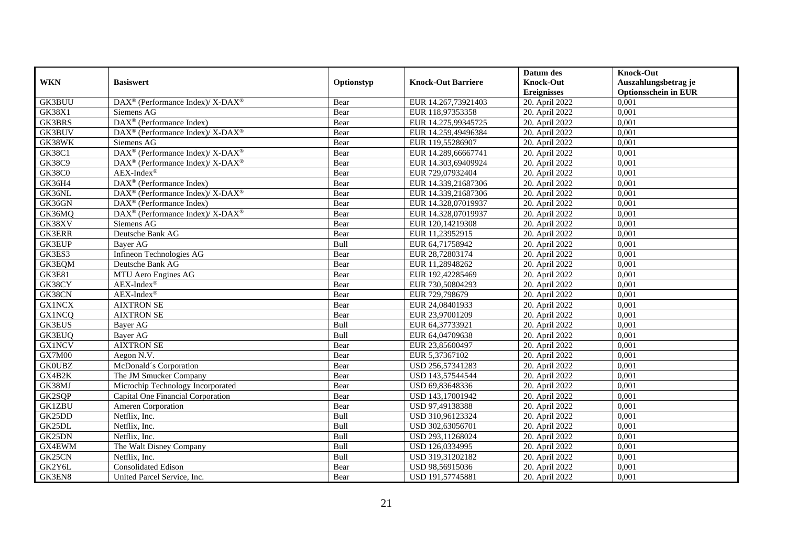|               |                                                                          |            |                           | Datum des          | <b>Knock-Out</b>            |
|---------------|--------------------------------------------------------------------------|------------|---------------------------|--------------------|-----------------------------|
| <b>WKN</b>    | <b>Basiswert</b>                                                         | Optionstyp | <b>Knock-Out Barriere</b> | <b>Knock-Out</b>   | Auszahlungsbetrag je        |
|               |                                                                          |            |                           | <b>Ereignisses</b> | <b>Optionsschein in EUR</b> |
| GK3BUU        | DAX <sup>®</sup> (Performance Index)/X-DAX <sup>®</sup>                  | Bear       | EUR 14.267,73921403       | 20. April 2022     | 0,001                       |
| <b>GK38X1</b> | Siemens AG                                                               | Bear       | EUR 118,97353358          | 20. April 2022     | 0,001                       |
| GK3BRS        | $\overline{\text{DAX}^{\otimes}}$ (Performance Index)                    | Bear       | EUR 14.275,99345725       | 20. April 2022     | 0,001                       |
| GK3BUV        | $\overline{\text{DAX}^{\otimes}}$ (Performance Index)/X-DAX <sup>®</sup> | Bear       | EUR 14.259,49496384       | 20. April 2022     | 0,001                       |
| GK38WK        | Siemens AG                                                               | Bear       | EUR 119,55286907          | 20. April 2022     | 0,001                       |
| <b>GK38C1</b> | DAX <sup>®</sup> (Performance Index)/X-DAX <sup>®</sup>                  | Bear       | EUR 14.289,66667741       | 20. April 2022     | 0,001                       |
| <b>GK38C9</b> | $\text{DAX}^{\circledR}$ (Performance Index)/ X-DAX <sup>®</sup>         | Bear       | EUR 14.303,69409924       | 20. April 2022     | 0,001                       |
| <b>GK38C0</b> | $AEX-Index^{\circledR}$                                                  | Bear       | EUR 729,07932404          | 20. April 2022     | 0,001                       |
| GK36H4        | DAX <sup>®</sup> (Performance Index)                                     | Bear       | EUR 14.339,21687306       | 20. April 2022     | 0,001                       |
| GK36NL        | DAX <sup>®</sup> (Performance Index)/ X-DAX <sup>®</sup>                 | Bear       | EUR 14.339,21687306       | 20. April 2022     | 0,001                       |
| GK36GN        | DAX <sup>®</sup> (Performance Index)                                     | Bear       | EUR 14.328,07019937       | 20. April 2022     | 0,001                       |
| GK36MQ        | $\overline{\text{DAX}^{\otimes}}$ (Performance Index)/X-DAX <sup>®</sup> | Bear       | EUR 14.328,07019937       | 20. April 2022     | 0,001                       |
| GK38XV        | Siemens AG                                                               | Bear       | EUR 120,14219308          | 20. April 2022     | 0,001                       |
| <b>GK3ERR</b> | Deutsche Bank AG                                                         | Bear       | EUR 11,23952915           | 20. April 2022     | 0.001                       |
| <b>GK3EUP</b> | Bayer AG                                                                 | Bull       | EUR 64,71758942           | 20. April 2022     | 0,001                       |
| GK3ES3        | Infineon Technologies AG                                                 | Bear       | EUR 28,72803174           | 20. April 2022     | 0,001                       |
| GK3EQM        | Deutsche Bank AG                                                         | Bear       | EUR 11,28948262           | 20. April 2022     | 0,001                       |
| <b>GK3E81</b> | MTU Aero Engines AG                                                      | Bear       | EUR 192,42285469          | 20. April 2022     | 0,001                       |
| GK38CY        | $AEX-Index^{\circledR}$                                                  | Bear       | EUR 730,50804293          | 20. April 2022     | 0,001                       |
| GK38CN        | $AEX-Index^{\circledR}$                                                  | Bear       | EUR 729,798679            | 20. April 2022     | 0,001                       |
| <b>GX1NCX</b> | <b>AIXTRON SE</b>                                                        | Bear       | EUR 24,08401933           | 20. April 2022     | 0,001                       |
| <b>GX1NCQ</b> | <b>AIXTRON SE</b>                                                        | Bear       | EUR 23,97001209           | 20. April 2022     | 0,001                       |
| <b>GK3EUS</b> | Bayer AG                                                                 | Bull       | EUR 64,37733921           | 20. April 2022     | 0,001                       |
| <b>GK3EUQ</b> | <b>Bayer AG</b>                                                          | Bull       | EUR 64,04709638           | 20. April 2022     | 0,001                       |
| <b>GX1NCV</b> | <b>AIXTRON SE</b>                                                        | Bear       | EUR 23,85600497           | 20. April 2022     | 0,001                       |
| GX7M00        | Aegon N.V.                                                               | Bear       | EUR 5,37367102            | 20. April 2022     | 0,001                       |
| <b>GK0UBZ</b> | McDonald's Corporation                                                   | Bear       | USD 256,57341283          | 20. April 2022     | 0,001                       |
| GX4B2K        | The JM Smucker Company                                                   | Bear       | USD 143,57544544          | 20. April 2022     | 0,001                       |
| GK38MJ        | Microchip Technology Incorporated                                        | Bear       | USD 69,83648336           | 20. April 2022     | 0,001                       |
| GK2SQP        | Capital One Financial Corporation                                        | Bear       | USD 143,17001942          | 20. April 2022     | 0,001                       |
| <b>GK1ZBU</b> | Ameren Corporation                                                       | Bear       | USD 97,49138388           | 20. April 2022     | 0,001                       |
| GK25DD        | Netflix, Inc.                                                            | Bull       | USD 310,96123324          | 20. April 2022     | 0,001                       |
| GK25DL        | Netflix, Inc.                                                            | Bull       | USD 302,63056701          | 20. April 2022     | 0,001                       |
| GK25DN        | Netflix, Inc.                                                            | Bull       | USD 293,11268024          | 20. April 2022     | 0,001                       |
| GX4EWM        | The Walt Disney Company                                                  | Bull       | USD 126,0334995           | 20. April 2022     | 0,001                       |
| GK25CN        | Netflix, Inc.                                                            | Bull       | USD 319,31202182          | 20. April 2022     | 0,001                       |
| GK2Y6L        | <b>Consolidated Edison</b>                                               | Bear       | USD 98,56915036           | 20. April 2022     | 0,001                       |
| GK3EN8        | United Parcel Service, Inc.                                              | Bear       | USD 191,57745881          | 20. April 2022     | 0,001                       |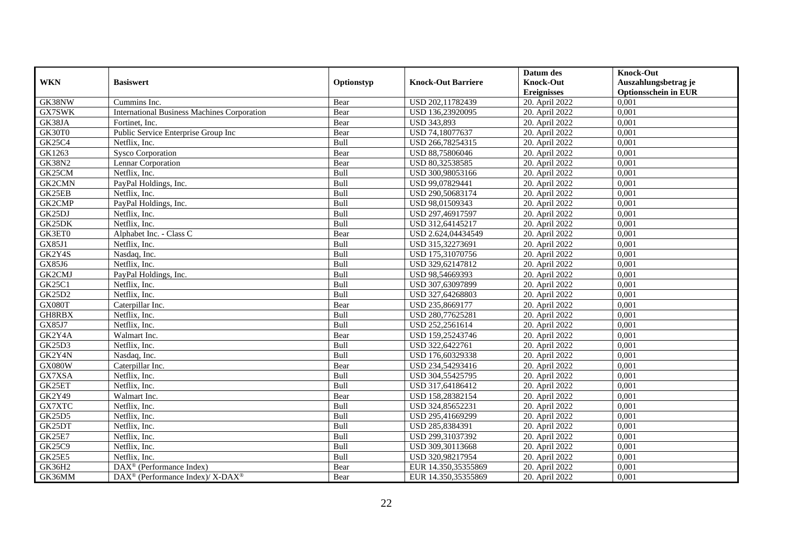|               |                                                          |            |                           | Datum des          | <b>Knock-Out</b>            |
|---------------|----------------------------------------------------------|------------|---------------------------|--------------------|-----------------------------|
| <b>WKN</b>    | <b>Basiswert</b>                                         | Optionstyp | <b>Knock-Out Barriere</b> | <b>Knock-Out</b>   | Auszahlungsbetrag je        |
|               |                                                          |            |                           | <b>Ereignisses</b> | <b>Optionsschein in EUR</b> |
| GK38NW        | Cummins Inc.                                             | Bear       | USD 202,11782439          | 20. April 2022     | 0,001                       |
| GX7SWK        | <b>International Business Machines Corporation</b>       | Bear       | USD 136,23920095          | 20. April 2022     | 0,001                       |
| GK38JA        | Fortinet, Inc.                                           | Bear       | <b>USD 343,893</b>        | 20. April 2022     | 0,001                       |
| GK30T0        | Public Service Enterprise Group Inc                      | Bear       | USD 74,18077637           | 20. April 2022     | 0,001                       |
| <b>GK25C4</b> | Netflix, Inc.                                            | Bull       | USD 266,78254315          | 20. April 2022     | 0,001                       |
| GK1263        | Sysco Corporation                                        | Bear       | USD 88,75806046           | 20. April 2022     | 0,001                       |
| <b>GK38N2</b> | Lennar Corporation                                       | Bear       | USD 80,32538585           | 20. April 2022     | 0,001                       |
| GK25CM        | Netflix, Inc.                                            | Bull       | USD 300,98053166          | 20. April 2022     | 0,001                       |
| GK2CMN        | PayPal Holdings, Inc.                                    | Bull       | USD 99,07829441           | 20. April 2022     | 0,001                       |
| GK25EB        | Netflix, Inc.                                            | Bull       | USD 290,50683174          | 20. April 2022     | 0,001                       |
| GK2CMP        | PayPal Holdings, Inc.                                    | Bull       | USD 98,01509343           | 20. April 2022     | 0,001                       |
| GK25DJ        | Netflix, Inc.                                            | Bull       | USD 297,46917597          | 20. April 2022     | 0,001                       |
| GK25DK        | Netflix, Inc.                                            | Bull       | USD 312,64145217          | 20. April 2022     | 0,001                       |
| GK3ET0        | Alphabet Inc. - Class C                                  | Bear       | USD 2.624,04434549        | 20. April 2022     | 0.001                       |
| GX85J1        | Netflix, Inc.                                            | Bull       | USD 315,32273691          | 20. April 2022     | 0,001                       |
| GK2Y4S        | Nasdaq, Inc.                                             | Bull       | USD 175,31070756          | 20. April 2022     | 0,001                       |
| GX85J6        | Netflix, Inc.                                            | Bull       | USD 329,62147812          | 20. April 2022     | 0,001                       |
| GK2CMJ        | PayPal Holdings, Inc.                                    | Bull       | USD 98,54669393           | 20. April 2022     | 0,001                       |
| <b>GK25C1</b> | Netflix, Inc.                                            | Bull       | USD 307,63097899          | 20. April 2022     | 0,001                       |
| GK25D2        | Netflix, Inc.                                            | Bull       | USD 327,64268803          | 20. April 2022     | 0,001                       |
| GX080T        | Caterpillar Inc.                                         | Bear       | USD 235,8669177           | 20. April 2022     | 0,001                       |
| GH8RBX        | Netflix. Inc.                                            | Bull       | USD 280,77625281          | 20. April 2022     | 0,001                       |
| GX85J7        | Netflix, Inc.                                            | Bull       | USD 252,2561614           | 20. April 2022     | 0,001                       |
| GK2Y4A        | Walmart Inc.                                             | Bear       | USD 159,25243746          | 20. April 2022     | 0,001                       |
| GK25D3        | Netflix, Inc.                                            | Bull       | USD 322,6422761           | 20. April 2022     | 0,001                       |
| GK2Y4N        | Nasdaq, Inc.                                             | Bull       | USD 176,60329338          | 20. April 2022     | 0,001                       |
| GX080W        | Caterpillar Inc.                                         | Bear       | USD 234,54293416          | 20. April 2022     | 0,001                       |
| GX7XSA        | Netflix, Inc.                                            | Bull       | USD 304,55425795          | 20. April 2022     | 0,001                       |
| GK25ET        | Netflix, Inc.                                            | Bull       | USD 317,64186412          | 20. April 2022     | 0,001                       |
| GK2Y49        | Walmart Inc.                                             | Bear       | USD 158,28382154          | 20. April 2022     | 0,001                       |
| GX7XTC        | Netflix, Inc.                                            | Bull       | USD 324,85652231          | 20. April 2022     | 0,001                       |
| <b>GK25D5</b> | Netflix, Inc.                                            | Bull       | USD 295,41669299          | 20. April 2022     | 0,001                       |
| GK25DT        | Netflix, Inc.                                            | Bull       | USD 285,8384391           | 20. April 2022     | 0,001                       |
| <b>GK25E7</b> | Netflix, Inc.                                            | Bull       | USD 299,31037392          | 20. April 2022     | 0,001                       |
| <b>GK25C9</b> | Netflix, Inc.                                            | Bull       | USD 309,30113668          | 20. April 2022     | 0,001                       |
| <b>GK25E5</b> | Netflix, Inc.                                            | Bull       | USD 320,98217954          | 20. April 2022     | 0,001                       |
| GK36H2        | $\text{DAX}^{\otimes}$ (Performance Index)               | Bear       | EUR 14.350,35355869       | 20. April 2022     | 0,001                       |
| GK36MM        | DAX <sup>®</sup> (Performance Index)/ X-DAX <sup>®</sup> | Bear       | EUR 14.350,35355869       | 20. April 2022     | 0,001                       |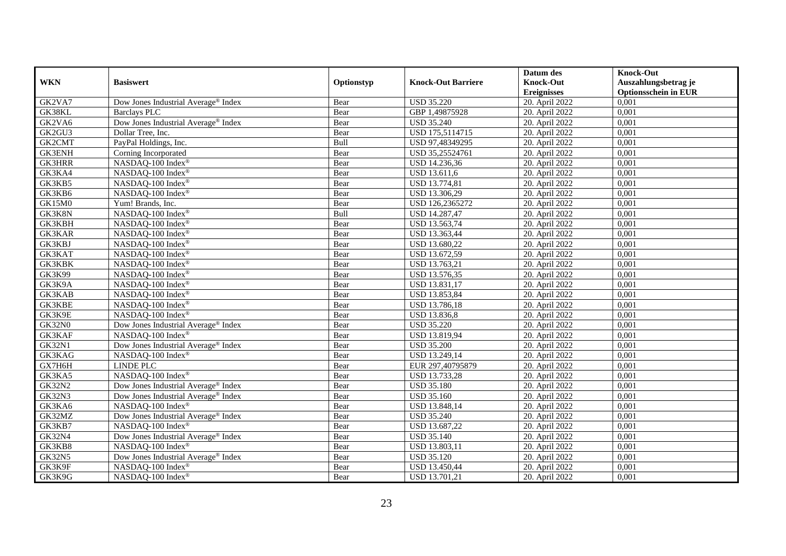|               |                                                 |            |                           | Datum des          | <b>Knock-Out</b>            |
|---------------|-------------------------------------------------|------------|---------------------------|--------------------|-----------------------------|
| <b>WKN</b>    | <b>Basiswert</b>                                | Optionstyp | <b>Knock-Out Barriere</b> | <b>Knock-Out</b>   | Auszahlungsbetrag je        |
|               |                                                 |            |                           | <b>Ereignisses</b> | <b>Optionsschein in EUR</b> |
| GK2VA7        | Dow Jones Industrial Average® Index             | Bear       | <b>USD 35.220</b>         | 20. April 2022     | 0,001                       |
| GK38KL        | Barclays PLC                                    | Bear       | GBP 1,49875928            | 20. April 2022     | 0,001                       |
| GK2VA6        | Dow Jones Industrial Average® Index             | Bear       | <b>USD 35.240</b>         | 20. April 2022     | 0,001                       |
| GK2GU3        | Dollar Tree, Inc.                               | Bear       | USD 175,5114715           | 20. April 2022     | 0,001                       |
| GK2CMT        | PayPal Holdings, Inc.                           | Bull       | USD 97,48349295           | 20. April 2022     | 0,001                       |
| <b>GK3ENH</b> | Corning Incorporated                            | Bear       | USD 35,25524761           | 20. April 2022     | 0,001                       |
| <b>GK3HRR</b> | NASDAQ-100 Index®                               | Bear       | USD 14.236,36             | 20. April 2022     | 0,001                       |
| GK3KA4        | NASDAQ-100 Index®                               | Bear       | USD 13.611,6              | 20. April 2022     | 0,001                       |
| GK3KB5        | NASDAQ-100 Index®                               | Bear       | USD 13.774,81             | 20. April 2022     | 0,001                       |
| GK3KB6        | NASDAQ-100 Index®                               | Bear       | USD 13.306,29             | 20. April 2022     | 0,001                       |
| GK15M0        | Yum! Brands, Inc.                               | Bear       | USD 126,2365272           | 20. April 2022     | 0,001                       |
| GK3K8N        | NASDAQ-100 Index®                               | Bull       | <b>USD 14.287,47</b>      | 20. April 2022     | 0,001                       |
| <b>GK3KBH</b> | NASDAQ-100 Index®                               | Bear       | USD 13.563,74             | 20. April 2022     | 0,001                       |
| <b>GK3KAR</b> | NASDAQ-100 Index®                               | Bear       | USD 13.363,44             | 20. April 2022     | 0,001                       |
| GK3KBJ        | NASDAQ-100 Index®                               | Bear       | USD 13.680,22             | 20. April 2022     | 0,001                       |
| GK3KAT        | NASDAQ-100 Index®                               | Bear       | USD 13.672,59             | 20. April 2022     | 0,001                       |
| GK3KBK        | NASDAQ-100 Index®                               | Bear       | USD 13.763,21             | 20. April 2022     | 0,001                       |
| GK3K99        | NASDAQ-100 Index®                               | Bear       | USD 13.576,35             | 20. April 2022     | 0,001                       |
| GK3K9A        | NASDAQ-100 Index®                               | Bear       | USD 13.831,17             | 20. April 2022     | 0,001                       |
| GK3KAB        | NASDAQ-100 Index®                               | Bear       | USD 13.853,84             | 20. April 2022     | 0,001                       |
| <b>GK3KBE</b> | NASDAQ-100 Index®                               | Bear       | USD 13.786,18             | 20. April 2022     | 0,001                       |
| GK3K9E        | NASDAQ-100 Index®                               | Bear       | <b>USD 13.836,8</b>       | 20. April 2022     | 0,001                       |
| GK32N0        | Dow Jones Industrial Average <sup>®</sup> Index | Bear       | <b>USD 35.220</b>         | 20. April 2022     | 0,001                       |
| GK3KAF        | NASDAQ-100 Index®                               | Bear       | USD 13.819,94             | 20. April 2022     | 0,001                       |
| <b>GK32N1</b> | Dow Jones Industrial Average® Index             | Bear       | <b>USD 35.200</b>         | 20. April 2022     | 0,001                       |
| GK3KAG        | NASDAQ-100 Index®                               | Bear       | USD 13.249,14             | 20. April 2022     | 0,001                       |
| GX7H6H        | LINDE PLC                                       | Bear       | EUR 297,40795879          | 20. April 2022     | 0,001                       |
| GK3KA5        | NASDAQ-100 Index®                               | Bear       | USD 13.733,28             | 20. April 2022     | 0,001                       |
| <b>GK32N2</b> | Dow Jones Industrial Average® Index             | Bear       | <b>USD 35.180</b>         | 20. April 2022     | 0,001                       |
| <b>GK32N3</b> | Dow Jones Industrial Average <sup>®</sup> Index | Bear       | <b>USD 35.160</b>         | 20. April 2022     | 0,001                       |
| GK3KA6        | NASDAQ-100 Index®                               | Bear       | USD 13.848,14             | 20. April 2022     | 0,001                       |
| GK32MZ        | Dow Jones Industrial Average <sup>®</sup> Index | Bear       | <b>USD 35.240</b>         | 20. April 2022     | 0,001                       |
| GK3KB7        | NASDAQ-100 Index®                               | Bear       | USD 13.687,22             | 20. April 2022     | 0,001                       |
| <b>GK32N4</b> | Dow Jones Industrial Average <sup>®</sup> Index | Bear       | <b>USD 35.140</b>         | 20. April 2022     | 0,001                       |
| GK3KB8        | NASDAQ-100 Index®                               | Bear       | USD 13.803,11             | 20. April 2022     | 0,001                       |
| <b>GK32N5</b> | Dow Jones Industrial Average® Index             | Bear       | <b>USD 35.120</b>         | 20. April 2022     | 0,001                       |
| GK3K9F        | NASDAQ-100 Index®                               | Bear       | USD 13.450,44             | 20. April 2022     | 0,001                       |
| GK3K9G        | NASDAQ-100 Index®                               | Bear       | USD 13.701,21             | 20. April 2022     | 0,001                       |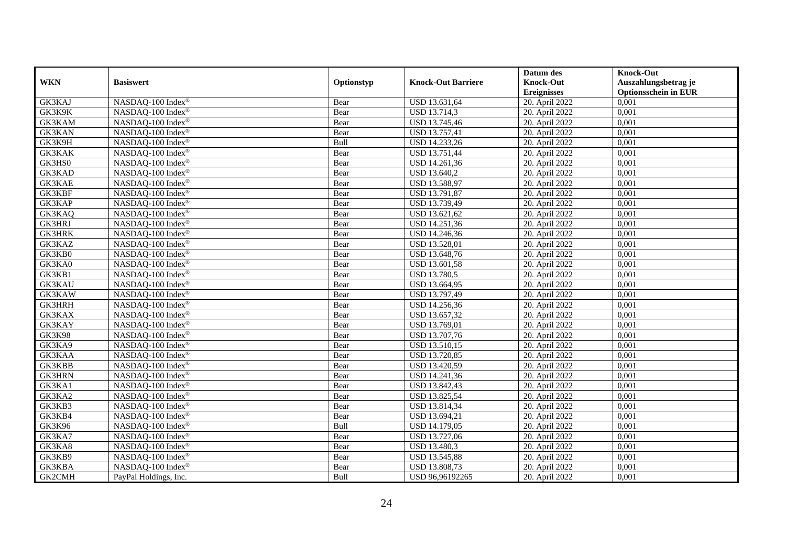|               |                                 |            |                           | Datum des          | <b>Knock-Out</b>            |
|---------------|---------------------------------|------------|---------------------------|--------------------|-----------------------------|
| <b>WKN</b>    | <b>Basiswert</b>                | Optionstyp | <b>Knock-Out Barriere</b> | <b>Knock-Out</b>   | Auszahlungsbetrag je        |
|               |                                 |            |                           | <b>Ereignisses</b> | <b>Optionsschein in EUR</b> |
| GK3KAJ        | NASDAQ-100 Index®               | Bear       | USD 13.631,64             | 20. April 2022     | 0,001                       |
| GK3K9K        | NASDAQ-100 Index®               | Bear       | <b>USD 13.714,3</b>       | 20. April 2022     | 0,001                       |
| GK3KAM        | NASDAQ-100 Index®               | Bear       | USD 13.745,46             | 20. April 2022     | 0,001                       |
| GK3KAN        | NASDAQ-100 Index®               | Bear       | USD 13.757,41             | 20. April 2022     | 0,001                       |
| GK3K9H        | NASDAQ-100 Index®               | Bull       | USD 14.233,26             | 20. April 2022     | 0,001                       |
| <b>GK3KAK</b> | NASDAQ-100 Index®               | Bear       | USD 13.751,44             | 20. April 2022     | 0,001                       |
| GK3HS0        | NASDAQ-100 Index®               | Bear       | USD 14.261,36             | 20. April 2022     | 0,001                       |
| GK3KAD        | NASDAQ-100 Index®               | Bear       | USD 13.640,2              | 20. April 2022     | 0,001                       |
| GK3KAE        | NASDAQ-100 Index®               | Bear       | USD 13.588,97             | 20. April 2022     | 0,001                       |
| <b>GK3KBF</b> | NASDAQ-100 Index®               | Bear       | USD 13.791,87             | 20. April 2022     | 0,001                       |
| GK3KAP        | NASDAQ-100 Index®               | Bear       | USD 13.739,49             | 20. April 2022     | 0,001                       |
| GK3KAQ        | NASDAQ-100 Index®               | Bear       | USD 13.621,62             | 20. April 2022     | 0,001                       |
| <b>GK3HRJ</b> | NASDAQ-100 Index®               | Bear       | USD 14.251,36             | 20. April 2022     | 0,001                       |
| <b>GK3HRK</b> | NASDAQ-100 Index®               | Bear       | USD 14.246,36             | 20. April 2022     | 0,001                       |
| GK3KAZ        | NASDAQ-100 Index <sup>®</sup>   | Bear       | <b>USD 13.528,01</b>      | 20. April 2022     | 0,001                       |
| GK3KB0        | NASDAQ-100 Index®               | Bear       | USD 13.648,76             | 20. April 2022     | 0,001                       |
| GK3KA0        | NASDAQ-100 Index®               | Bear       | USD 13.601,58             | 20. April 2022     | 0,001                       |
| GK3KB1        | NASDAQ-100 Index®               | Bear       | <b>USD 13.780,5</b>       | 20. April 2022     | 0,001                       |
| <b>GK3KAU</b> | NASDAQ-100 Index®               | Bear       | USD 13.664,95             | 20. April 2022     | 0,001                       |
| GK3KAW        | NASDAQ-100 Index®               | Bear       | USD 13.797,49             | 20. April 2022     | 0,001                       |
| <b>GK3HRH</b> | NASDAQ-100 Index®               | Bear       | USD 14.256,36             | 20. April 2022     | 0,001                       |
| GK3KAX        | NASDAQ-100 Index®               | Bear       | USD 13.657,32             | 20. April 2022     | 0,001                       |
| GK3KAY        | NASDAQ-100 Index®               | Bear       | USD 13.769,01             | 20. April 2022     | 0,001                       |
| <b>GK3K98</b> | NASDAQ-100 Index®               | Bear       | USD 13.707,76             | 20. April 2022     | 0,001                       |
| GK3KA9        | NASDAQ-100 Index®               | Bear       | USD 13.510,15             | 20. April 2022     | 0,001                       |
| GK3KAA        | NASDAQ-100 Index®               | Bear       | <b>USD 13.720,85</b>      | 20. April 2022     | 0,001                       |
| GK3KBB        | NASDAQ-100 Index®               | Bear       | USD 13.420,59             | 20. April 2022     | 0,001                       |
| <b>GK3HRN</b> | NASDAQ-100 Index®               | Bear       | USD 14.241,36             | 20. April 2022     | 0,001                       |
| GK3KA1        | NASDAQ-100 Index®               | Bear       | USD 13.842,43             | 20. April 2022     | 0,001                       |
| GK3KA2        | NASDAQ-100 Index®               | Bear       | USD 13.825,54             | 20. April 2022     | 0,001                       |
| GK3KB3        | $NASDAQ-100$ Index <sup>®</sup> | Bear       | USD 13.814,34             | 20. April 2022     | 0,001                       |
| GK3KB4        | NASDAQ-100 Index®               | Bear       | USD 13.694,21             | 20. April 2022     | 0,001                       |
| <b>GK3K96</b> | NASDAQ-100 Index®               | Bull       | <b>USD 14.179,05</b>      | 20. April 2022     | 0,001                       |
| GK3KA7        | NASDAQ-100 Index®               | Bear       | USD 13.727,06             | 20. April 2022     | 0,001                       |
| GK3KA8        | NASDAQ-100 Index®               | Bear       | USD 13.480,3              | 20. April 2022     | 0,001                       |
| GK3KB9        | NASDAQ-100 Index®               | Bear       | USD 13.545,88             | 20. April 2022     | 0,001                       |
| GK3KBA        | NASDAQ-100 Index®               | Bear       | USD 13.808,73             | 20. April 2022     | 0,001                       |
| GK2CMH        | PayPal Holdings, Inc.           | Bull       | USD 96,96192265           | 20. April 2022     | 0,001                       |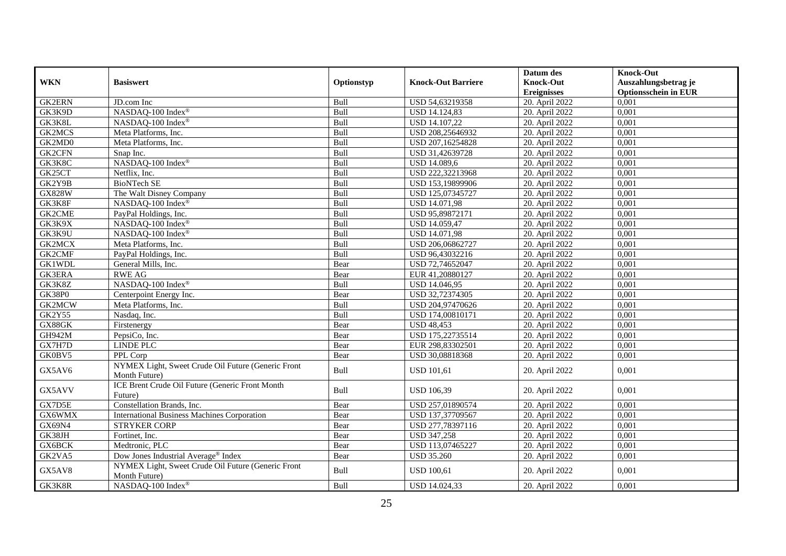|               |                                                                     |            |                           | Datum des          | <b>Knock-Out</b>            |
|---------------|---------------------------------------------------------------------|------------|---------------------------|--------------------|-----------------------------|
| <b>WKN</b>    | <b>Basiswert</b>                                                    | Optionstyp | <b>Knock-Out Barriere</b> | <b>Knock-Out</b>   | Auszahlungsbetrag je        |
|               |                                                                     |            |                           | <b>Ereignisses</b> | <b>Optionsschein in EUR</b> |
| <b>GK2ERN</b> | JD.com Inc                                                          | Bull       | USD 54,63219358           | 20. April 2022     | 0,001                       |
| GK3K9D        | NASDAQ-100 Index®                                                   | Bull       | <b>USD 14.124,83</b>      | 20. April 2022     | 0,001                       |
| GK3K8L        | NASDAQ-100 Index®                                                   | Bull       | USD 14.107,22             | 20. April 2022     | 0,001                       |
| <b>GK2MCS</b> | Meta Platforms, Inc.                                                | Bull       | USD 208,25646932          | 20. April 2022     | 0,001                       |
| GK2MD0        | Meta Platforms, Inc.                                                | Bull       | USD 207,16254828          | 20. April 2022     | 0,001                       |
| <b>GK2CFN</b> | Snap Inc.                                                           | Bull       | USD 31,42639728           | 20. April 2022     | 0,001                       |
| GK3K8C        | NASDAQ-100 Index®                                                   | Bull       | USD 14.089,6              | 20. April 2022     | 0,001                       |
| GK25CT        | Netflix, Inc.                                                       | Bull       | USD 222,32213968          | 20. April 2022     | 0,001                       |
| GK2Y9B        | <b>BioNTech SE</b>                                                  | Bull       | USD 153,19899906          | 20. April 2022     | 0,001                       |
| <b>GX828W</b> | The Walt Disney Company                                             | Bull       | USD 125,07345727          | 20. April 2022     | 0,001                       |
| GK3K8F        | NASDAQ-100 Index®                                                   | Bull       | USD 14.071,98             | 20. April 2022     | 0,001                       |
| GK2CME        | PayPal Holdings, Inc.                                               | Bull       | USD 95,89872171           | 20. April 2022     | 0,001                       |
| GK3K9X        | NASDAQ-100 Index®                                                   | Bull       | USD 14.059,47             | 20. April 2022     | 0,001                       |
| GK3K9U        | NASDAQ-100 Index®                                                   | Bull       | <b>USD 14.071,98</b>      | 20. April 2022     | 0,001                       |
| <b>GK2MCX</b> | Meta Platforms, Inc.                                                | Bull       | USD 206,06862727          | 20. April 2022     | 0,001                       |
| GK2CMF        | PayPal Holdings, Inc.                                               | Bull       | USD 96,43032216           | 20. April 2022     | 0,001                       |
| <b>GK1WDL</b> | General Mills, Inc.                                                 | Bear       | USD 72,74652047           | $20.$ April 2022   | 0,001                       |
| <b>GK3ERA</b> | <b>RWE AG</b>                                                       | Bear       | EUR 41,20880127           | 20. April 2022     | 0,001                       |
| GK3K8Z        | NASDAQ-100 Index®                                                   | Bull       | USD 14.046,95             | 20. April 2022     | 0,001                       |
| <b>GK38P0</b> | Centerpoint Energy Inc.                                             | Bear       | USD 32,72374305           | 20. April 2022     | 0,001                       |
| GK2MCW        | Meta Platforms, Inc.                                                | Bull       | USD 204,97470626          | 20. April 2022     | 0,001                       |
| <b>GK2Y55</b> | Nasdaq, Inc.                                                        | Bull       | USD 174,00810171          | 20. April 2022     | 0,001                       |
| GX88GK        | Firstenergy                                                         | Bear       | <b>USD 48,453</b>         | 20. April 2022     | 0,001                       |
| GH942M        | PepsiCo, Inc.                                                       | Bear       | USD 175,22735514          | 20. April 2022     | 0,001                       |
| GX7H7D        | LINDE PLC                                                           | Bear       | EUR 298,83302501          | 20. April 2022     | 0,001                       |
| GK0BV5        | PPL Corp                                                            | Bear       | USD 30,08818368           | 20. April 2022     | 0,001                       |
| GX5AV6        | NYMEX Light, Sweet Crude Oil Future (Generic Front<br>Month Future) | Bull       | <b>USD 101,61</b>         | 20. April 2022     | 0,001                       |
| GX5AVV        | ICE Brent Crude Oil Future (Generic Front Month<br>Future)          | Bull       | <b>USD 106,39</b>         | 20. April 2022     | 0,001                       |
| GX7D5E        | Constellation Brands, Inc.                                          | Bear       | USD 257,01890574          | 20. April 2022     | 0,001                       |
| GX6WMX        | <b>International Business Machines Corporation</b>                  | Bear       | USD 137,37709567          | 20. April 2022     | 0,001                       |
| GX69N4        | <b>STRYKER CORP</b>                                                 | Bear       | USD 277,78397116          | 20. April 2022     | 0,001                       |
| GK38JH        | Fortinet, Inc.                                                      | Bear       | <b>USD 347,258</b>        | 20. April 2022     | 0,001                       |
| GX6BCK        | Medtronic, PLC                                                      | Bear       | USD 113,07465227          | 20. April 2022     | 0,001                       |
| GK2VA5        | Dow Jones Industrial Average® Index                                 | Bear       | <b>USD 35.260</b>         | 20. April 2022     | 0,001                       |
| GX5AV8        | NYMEX Light, Sweet Crude Oil Future (Generic Front<br>Month Future) | Bull       | <b>USD 100,61</b>         | 20. April 2022     | 0,001                       |
| GK3K8R        | NASDAQ-100 Index®                                                   | Bull       | <b>USD 14.024.33</b>      | 20. April 2022     | 0,001                       |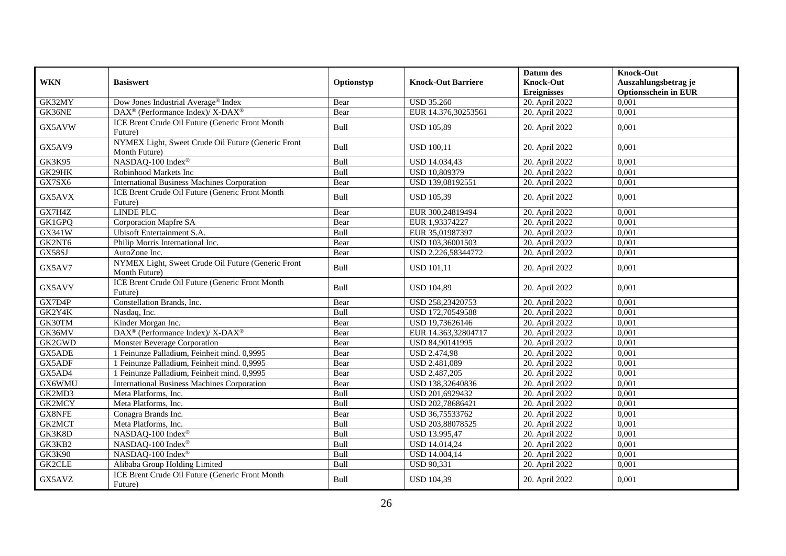|               |                                                                     |            |                           | Datum des          | <b>Knock-Out</b>            |
|---------------|---------------------------------------------------------------------|------------|---------------------------|--------------------|-----------------------------|
| <b>WKN</b>    | <b>Basiswert</b>                                                    | Optionstyp | <b>Knock-Out Barriere</b> | <b>Knock-Out</b>   | Auszahlungsbetrag je        |
|               |                                                                     |            |                           | <b>Ereignisses</b> | <b>Optionsschein in EUR</b> |
| GK32MY        | Dow Jones Industrial Average® Index                                 | Bear       | <b>USD 35.260</b>         | 20. April 2022     | 0,001                       |
| GK36NE        | $DAX^{\circledcirc}$ (Performance Index)/ X-DAX <sup>®</sup>        | Bear       | EUR 14.376,30253561       | 20. April 2022     | 0,001                       |
| GX5AVW        | ICE Brent Crude Oil Future (Generic Front Month<br>Future)          | Bull       | <b>USD 105,89</b>         | 20. April 2022     | 0,001                       |
| GX5AV9        | NYMEX Light, Sweet Crude Oil Future (Generic Front<br>Month Future) | Bull       | <b>USD 100,11</b>         | 20. April 2022     | 0,001                       |
| <b>GK3K95</b> | NASDAQ-100 Index®                                                   | Bull       | <b>USD 14.034,43</b>      | 20. April 2022     | 0,001                       |
| GK29HK        | Robinhood Markets Inc                                               | Bull       | USD 10,809379             | 20. April 2022     | 0,001                       |
| GX7SX6        | <b>International Business Machines Corporation</b>                  | Bear       | USD 139,08192551          | 20. April 2022     | 0,001                       |
| GX5AVX        | ICE Brent Crude Oil Future (Generic Front Month<br>Future)          | Bull       | <b>USD 105,39</b>         | 20. April 2022     | 0,001                       |
| GX7H4Z        | <b>LINDE PLC</b>                                                    | Bear       | EUR 300,24819494          | 20. April 2022     | 0,001                       |
| GK1GPQ        | Corporacion Mapfre SA                                               | Bear       | EUR 1,93374227            | 20. April 2022     | 0,001                       |
| GX341W        | Ubisoft Entertainment S.A.                                          | Bull       | EUR 35,01987397           | 20. April 2022     | 0,001                       |
| GK2NT6        | Philip Morris International Inc.                                    | Bear       | USD 103,36001503          | 20. April 2022     | 0,001                       |
| GX58SJ        | AutoZone Inc.                                                       | Bear       | USD 2.226,58344772        | 20. April 2022     | 0,001                       |
| GX5AV7        | NYMEX Light, Sweet Crude Oil Future (Generic Front<br>Month Future) | Bull       | <b>USD 101,11</b>         | 20. April 2022     | 0,001                       |
| GX5AVY        | ICE Brent Crude Oil Future (Generic Front Month<br>Future)          | Bull       | <b>USD 104,89</b>         | 20. April 2022     | 0.001                       |
| GX7D4P        | Constellation Brands, Inc.                                          | Bear       | USD 258,23420753          | 20. April 2022     | 0,001                       |
| GK2Y4K        | Nasdaq, Inc.                                                        | Bull       | USD 172,70549588          | 20. April 2022     | 0,001                       |
| GK30TM        | Kinder Morgan Inc.                                                  | Bear       | USD 19,73626146           | 20. April 2022     | 0,001                       |
| GK36MV        | $\text{DAX}^{\circledR}$ (Performance Index)/ X-DAX <sup>®</sup>    | Bear       | EUR 14.363,32804717       | 20. April 2022     | 0,001                       |
| GK2GWD        | <b>Monster Beverage Corporation</b>                                 | Bear       | USD 84,90141995           | 20. April 2022     | 0,001                       |
| GX5ADE        | 1 Feinunze Palladium, Feinheit mind. 0,9995                         | Bear       | <b>USD 2.474,98</b>       | 20. April 2022     | 0,001                       |
| GX5ADF        | 1 Feinunze Palladium, Feinheit mind. 0,9995                         | Bear       | USD 2.481,089             | 20. April 2022     | 0,001                       |
| GX5AD4        | 1 Feinunze Palladium, Feinheit mind. 0,9995                         | Bear       | USD 2.487,205             | 20. April 2022     | 0,001                       |
| GX6WMU        | <b>International Business Machines Corporation</b>                  | Bear       | USD 138,32640836          | 20. April 2022     | 0,001                       |
| GK2MD3        | Meta Platforms, Inc.                                                | Bull       | USD 201,6929432           | 20. April 2022     | 0,001                       |
| GK2MCY        | Meta Platforms, Inc.                                                | Bull       | USD 202,78686421          | 20. April 2022     | 0,001                       |
| GX8NFE        | Conagra Brands Inc.                                                 | Bear       | USD 36,75533762           | 20. April 2022     | 0,001                       |
| GK2MCT        | Meta Platforms, Inc.                                                | Bull       | USD 203,88078525          | 20. April 2022     | 0,001                       |
| GK3K8D        | NASDAQ-100 Index®                                                   | Bull       | USD 13.995,47             | 20. April 2022     | 0,001                       |
| GK3KB2        | NASDAQ-100 Index®                                                   | Bull       | USD 14.014,24             | 20. April 2022     | 0,001                       |
| <b>GK3K90</b> | NASDAQ-100 Index®                                                   | Bull       | USD 14.004,14             | 20. April 2022     | 0,001                       |
| GK2CLE        | Alibaba Group Holding Limited                                       | Bull       | <b>USD 90,331</b>         | 20. April 2022     | 0,001                       |
| GX5AVZ        | ICE Brent Crude Oil Future (Generic Front Month<br>Future)          | Bull       | <b>USD 104,39</b>         | 20. April 2022     | 0,001                       |